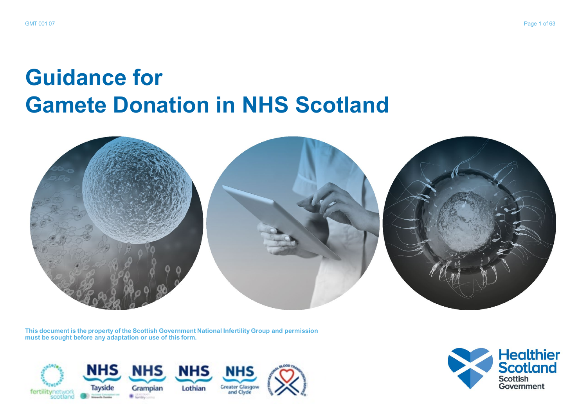# **Guidance for Gamete Donation in NHS Scotland**



**This document is the property of the Scottish Government National Infertility Group and permission must be sought before any adaptation or use of this form.**



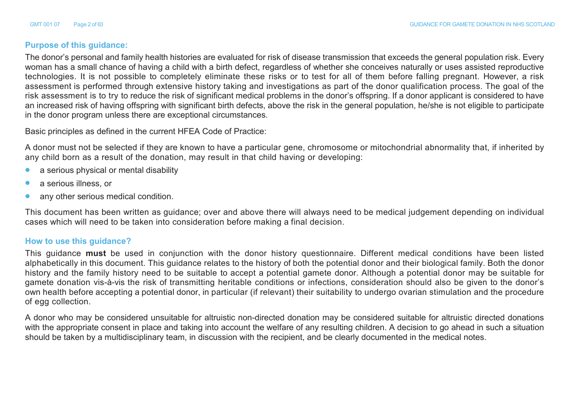#### **Purpose of this guidance:**

The donor's personal and family health histories are evaluated for risk of disease transmission that exceeds the general population risk. Every woman has a small chance of having a child with a birth defect, regardless of whether she conceives naturally or uses assisted reproductive technologies. It is not possible to completely eliminate these risks or to test for all of them before falling pregnant. However, a risk assessment is performed through extensive history taking and investigations as part of the donor qualification process. The goal of the risk assessment is to try to reduce the risk of significant medical problems in the donor's offspring. If a donor applicant is considered to have an increased risk of having offspring with significant birth defects, above the risk in the general population, he/she is not eligible to participate in the donor program unless there are exceptional circumstances.

Basic principles as defined in the current HFEA Code of Practice:

A donor must not be selected if they are known to have a particular gene, chromosome or mitochondrial abnormality that, if inherited by any child born as a result of the donation, may result in that child having or developing:

- **•** a serious physical or mental disability
- **•** a serious illness, or
- **•** any other serious medical condition.

This document has been written as guidance; over and above there will always need to be medical judgement depending on individual cases which will need to be taken into consideration before making a final decision.

#### **How to use this guidance?**

This guidance **must** be used in conjunction with the donor history questionnaire. Different medical conditions have been listed alphabetically in this document. This guidance relates to the history of both the potential donor and their biological family. Both the donor history and the family history need to be suitable to accept a potential gamete donor. Although a potential donor may be suitable for gamete donation vis-à-vis the risk of transmitting heritable conditions or infections, consideration should also be given to the donor's own health before accepting a potential donor, in particular (if relevant) their suitability to undergo ovarian stimulation and the procedure of egg collection.

A donor who may be considered unsuitable for altruistic non-directed donation may be considered suitable for altruistic directed donations with the appropriate consent in place and taking into account the welfare of any resulting children. A decision to go ahead in such a situation should be taken by a multidisciplinary team, in discussion with the recipient, and be clearly documented in the medical notes.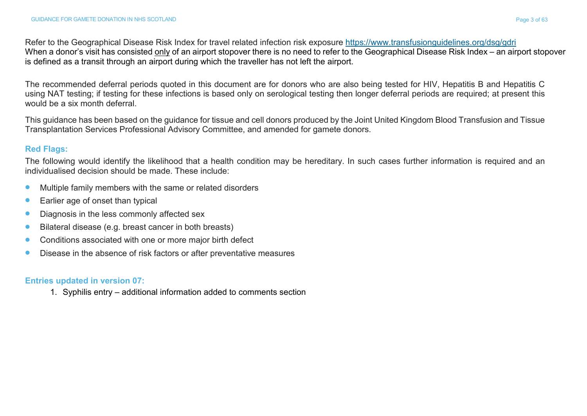Refer to the Geographical Disease Risk Index for travel related infection risk exposure htt[ps://www.transfusionguidelines.org/dsg/gd](http://www.transfusionguidelines.org/dsg/gdri)ri When a donor's visit has consisted only of an airport stopover there is no need to refer to the Geographical Disease Risk Index – an airport stopover is defined as a transit through an airport during which the traveller has not left the airport.

The recommended deferral periods quoted in this document are for donors who are also being tested for HIV, Hepatitis B and Hepatitis C using NAT testing; if testing for these infections is based only on serological testing then longer deferral periods are required; at present this would be a six month deferral.

This guidance has been based on the guidance for tissue and cell donors produced by the Joint United Kingdom Blood Transfusion and Tissue Transplantation Services Professional Advisory Committee, and amended for gamete donors.

#### **Red Flags:**

The following would identify the likelihood that a health condition may be hereditary. In such cases further information is required and an individualised decision should be made. These include:

- **•** Multiple family members with the same or related disorders
- **•** Earlier age of onset than typical
- **•** Diagnosis in the less commonly affected sex
- **•** Bilateral disease (e.g. breast cancer in both breasts)
- **•** Conditions associated with one or more major birth defect
- **•** Disease in the absence of risk factors or after preventative measures

## **Entries updated in version 07:**

1. Syphilis entry – additional information added to comments section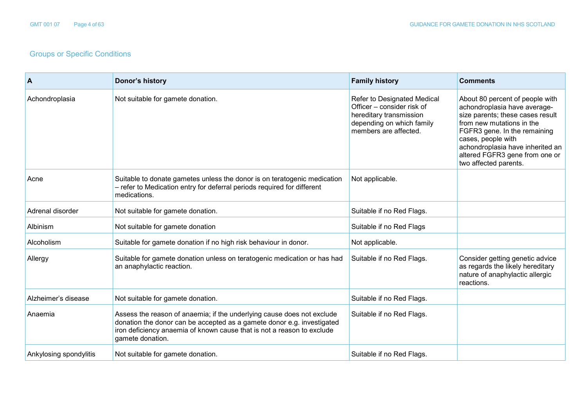# Groups or Specific Conditions

| $\mathsf{A}$           | Donor's history                                                                                                                                                                                                                                | <b>Family history</b>                                                                                                                      | <b>Comments</b>                                                                                                                                                                                                                                                                       |
|------------------------|------------------------------------------------------------------------------------------------------------------------------------------------------------------------------------------------------------------------------------------------|--------------------------------------------------------------------------------------------------------------------------------------------|---------------------------------------------------------------------------------------------------------------------------------------------------------------------------------------------------------------------------------------------------------------------------------------|
| Achondroplasia         | Not suitable for gamete donation.                                                                                                                                                                                                              | Refer to Designated Medical<br>Officer - consider risk of<br>hereditary transmission<br>depending on which family<br>members are affected. | About 80 percent of people with<br>achondroplasia have average-<br>size parents; these cases result<br>from new mutations in the<br>FGFR3 gene. In the remaining<br>cases, people with<br>achondroplasia have inherited an<br>altered FGFR3 gene from one or<br>two affected parents. |
| Acne                   | Suitable to donate gametes unless the donor is on teratogenic medication<br>- refer to Medication entry for deferral periods required for different<br>medications.                                                                            | Not applicable.                                                                                                                            |                                                                                                                                                                                                                                                                                       |
| Adrenal disorder       | Not suitable for gamete donation.                                                                                                                                                                                                              | Suitable if no Red Flags.                                                                                                                  |                                                                                                                                                                                                                                                                                       |
| Albinism               | Not suitable for gamete donation                                                                                                                                                                                                               | Suitable if no Red Flags                                                                                                                   |                                                                                                                                                                                                                                                                                       |
| Alcoholism             | Suitable for gamete donation if no high risk behaviour in donor.                                                                                                                                                                               | Not applicable.                                                                                                                            |                                                                                                                                                                                                                                                                                       |
| Allergy                | Suitable for gamete donation unless on teratogenic medication or has had<br>an anaphylactic reaction.                                                                                                                                          | Suitable if no Red Flags.                                                                                                                  | Consider getting genetic advice<br>as regards the likely hereditary<br>nature of anaphylactic allergic<br>reactions.                                                                                                                                                                  |
| Alzheimer's disease    | Not suitable for gamete donation.                                                                                                                                                                                                              | Suitable if no Red Flags.                                                                                                                  |                                                                                                                                                                                                                                                                                       |
| Anaemia                | Assess the reason of anaemia; if the underlying cause does not exclude<br>donation the donor can be accepted as a gamete donor e.g. investigated<br>iron deficiency anaemia of known cause that is not a reason to exclude<br>gamete donation. | Suitable if no Red Flags.                                                                                                                  |                                                                                                                                                                                                                                                                                       |
| Ankylosing spondylitis | Not suitable for gamete donation.                                                                                                                                                                                                              | Suitable if no Red Flags.                                                                                                                  |                                                                                                                                                                                                                                                                                       |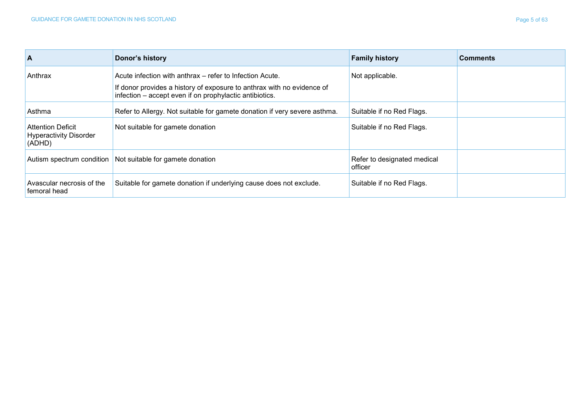| <b>A</b>                                                            | Donor's history                                                                                                                                                                               | <b>Family history</b>                  | <b>Comments</b> |
|---------------------------------------------------------------------|-----------------------------------------------------------------------------------------------------------------------------------------------------------------------------------------------|----------------------------------------|-----------------|
| Anthrax                                                             | Acute infection with anthrax – refer to Infection Acute.<br>If donor provides a history of exposure to anthrax with no evidence of<br>infection - accept even if on prophylactic antibiotics. | Not applicable.                        |                 |
| Asthma                                                              | Refer to Allergy. Not suitable for gamete donation if very severe asthma.                                                                                                                     | Suitable if no Red Flags.              |                 |
| <b>Attention Deficit</b><br><b>Hyperactivity Disorder</b><br>(ADHD) | Not suitable for gamete donation                                                                                                                                                              | Suitable if no Red Flags.              |                 |
|                                                                     | Autism spectrum condition Not suitable for gamete donation                                                                                                                                    | Refer to designated medical<br>officer |                 |
| Avascular necrosis of the<br>femoral head                           | Suitable for gamete donation if underlying cause does not exclude.                                                                                                                            | Suitable if no Red Flags.              |                 |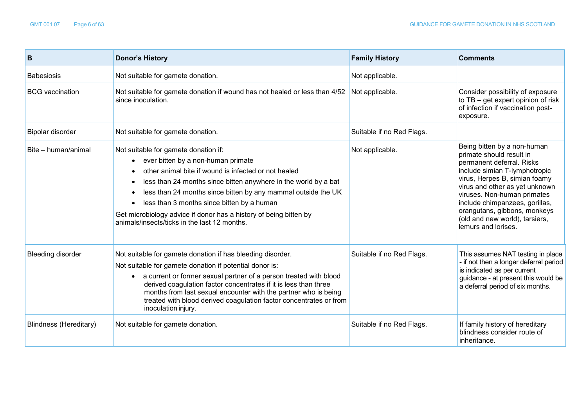| B                             | <b>Donor's History</b>                                                                                                                                                                                                                                                                                                                                                                                                                      | <b>Family History</b>     | <b>Comments</b>                                                                                                                                                                                                                                                                                                                                    |
|-------------------------------|---------------------------------------------------------------------------------------------------------------------------------------------------------------------------------------------------------------------------------------------------------------------------------------------------------------------------------------------------------------------------------------------------------------------------------------------|---------------------------|----------------------------------------------------------------------------------------------------------------------------------------------------------------------------------------------------------------------------------------------------------------------------------------------------------------------------------------------------|
| <b>Babesiosis</b>             | Not suitable for gamete donation.                                                                                                                                                                                                                                                                                                                                                                                                           | Not applicable.           |                                                                                                                                                                                                                                                                                                                                                    |
| <b>BCG</b> vaccination        | Not suitable for gamete donation if wound has not healed or less than 4/52<br>since inoculation.                                                                                                                                                                                                                                                                                                                                            | Not applicable.           | Consider possibility of exposure<br>to TB - get expert opinion of risk<br>of infection if vaccination post-<br>exposure.                                                                                                                                                                                                                           |
| Bipolar disorder              | Not suitable for gamete donation.                                                                                                                                                                                                                                                                                                                                                                                                           | Suitable if no Red Flags. |                                                                                                                                                                                                                                                                                                                                                    |
| Bite - human/animal           | Not suitable for gamete donation if:<br>• ever bitten by a non-human primate<br>other animal bite if wound is infected or not healed<br>less than 24 months since bitten anywhere in the world by a bat<br>less than 24 months since bitten by any mammal outside the UK<br>less than 3 months since bitten by a human<br>Get microbiology advice if donor has a history of being bitten by<br>animals/insects/ticks in the last 12 months. | Not applicable.           | Being bitten by a non-human<br>primate should result in<br>permanent deferral. Risks<br>include simian T-lymphotropic<br>virus, Herpes B, simian foamy<br>virus and other as yet unknown<br>viruses. Non-human primates<br>include chimpanzees, gorillas,<br>orangutans, gibbons, monkeys<br>(old and new world), tarsiers,<br>lemurs and lorises. |
| <b>Bleeding disorder</b>      | Not suitable for gamete donation if has bleeding disorder.<br>Not suitable for gamete donation if potential donor is:<br>• a current or former sexual partner of a person treated with blood<br>derived coagulation factor concentrates if it is less than three<br>months from last sexual encounter with the partner who is being<br>treated with blood derived coagulation factor concentrates or from<br>inoculation injury.            | Suitable if no Red Flags. | This assumes NAT testing in place<br>- if not then a longer deferral period<br>is indicated as per current<br>guidance - at present this would be<br>a deferral period of six months.                                                                                                                                                              |
| <b>Blindness (Hereditary)</b> | Not suitable for gamete donation.                                                                                                                                                                                                                                                                                                                                                                                                           | Suitable if no Red Flags. | If family history of hereditary<br>blindness consider route of<br>inheritance.                                                                                                                                                                                                                                                                     |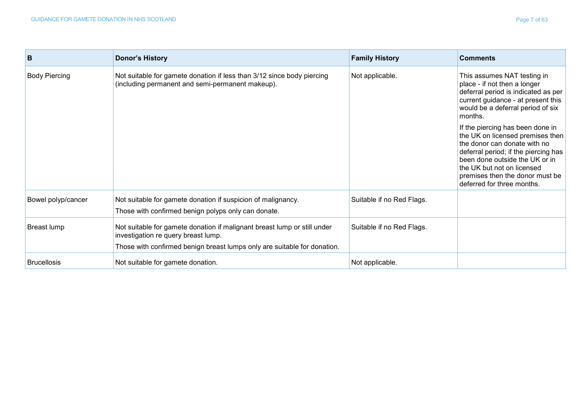| B                    | <b>Donor's History</b>                                                                                                     | <b>Family History</b>     | <b>Comments</b>                                                                                                                                                                                                                           |
|----------------------|----------------------------------------------------------------------------------------------------------------------------|---------------------------|-------------------------------------------------------------------------------------------------------------------------------------------------------------------------------------------------------------------------------------------|
| <b>Body Piercing</b> | Not suitable for gamete donation if less than 3/12 since body piercing<br>(including permanent and semi-permanent makeup). | Not applicable.           | This assumes NAT testing in<br>place - if not then a longer<br>deferral period is indicated as per<br>current guidance - at present this<br>would be a deferral period of six<br>months.<br>If the piercing has been done in              |
|                      |                                                                                                                            |                           | the UK on licensed premises then<br>the donor can donate with no<br>deferral period; if the piercing has<br>been done outside the UK or in<br>the UK but not on licensed<br>premises then the donor must be<br>deferred for three months. |
| Bowel polyp/cancer   | Not suitable for gamete donation if suspicion of malignancy.<br>Those with confirmed benign polyps only can donate.        | Suitable if no Red Flags. |                                                                                                                                                                                                                                           |
| Breast lump          | Not suitable for gamete donation if malignant breast lump or still under<br>investigation re query breast lump.            | Suitable if no Red Flags. |                                                                                                                                                                                                                                           |
|                      | Those with confirmed benign breast lumps only are suitable for donation.                                                   |                           |                                                                                                                                                                                                                                           |
| <b>Brucellosis</b>   | Not suitable for gamete donation.                                                                                          | Not applicable.           |                                                                                                                                                                                                                                           |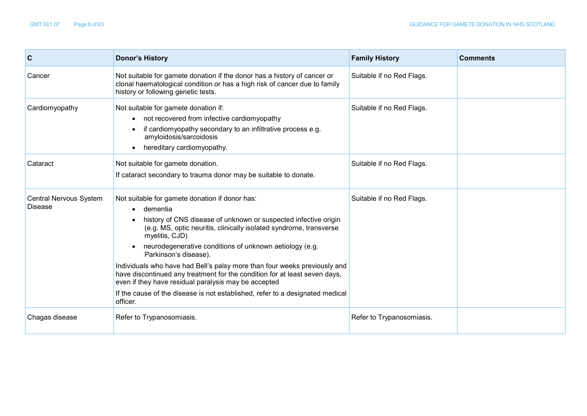| C                                        | <b>Donor's History</b>                                                                                                                                                                                                                                                                                                                                                                                                                                                                                                                                                                                                    | <b>Family History</b>     | <b>Comments</b> |
|------------------------------------------|---------------------------------------------------------------------------------------------------------------------------------------------------------------------------------------------------------------------------------------------------------------------------------------------------------------------------------------------------------------------------------------------------------------------------------------------------------------------------------------------------------------------------------------------------------------------------------------------------------------------------|---------------------------|-----------------|
| Cancer                                   | Not suitable for gamete donation if the donor has a history of cancer or<br>clonal haematological condition or has a high risk of cancer due to family<br>history or following genetic tests.                                                                                                                                                                                                                                                                                                                                                                                                                             | Suitable if no Red Flags. |                 |
| Cardiomyopathy                           | Not suitable for gamete donation if:<br>not recovered from infective cardiomyopathy<br>if cardiomyopathy secondary to an infiltrative process e.g.<br>amyloidosis/sarcoidosis<br>hereditary cardiomyopathy.                                                                                                                                                                                                                                                                                                                                                                                                               | Suitable if no Red Flags. |                 |
| Cataract                                 | Not suitable for gamete donation.<br>If cataract secondary to trauma donor may be suitable to donate.                                                                                                                                                                                                                                                                                                                                                                                                                                                                                                                     | Suitable if no Red Flags. |                 |
| <b>Central Nervous System</b><br>Disease | Not suitable for gamete donation if donor has:<br>dementia<br>history of CNS disease of unknown or suspected infective origin<br>(e.g. MS, optic neuritis, clinically isolated syndrome, transverse<br>myelitis, CJD)<br>neurodegenerative conditions of unknown aetiology (e.g.<br>Parkinson's disease).<br>Individuals who have had Bell's palsy more than four weeks previously and<br>have discontinued any treatment for the condition for at least seven days,<br>even if they have residual paralysis may be accepted<br>If the cause of the disease is not established, refer to a designated medical<br>officer. | Suitable if no Red Flags. |                 |
| Chagas disease                           | Refer to Trypanosomiasis.                                                                                                                                                                                                                                                                                                                                                                                                                                                                                                                                                                                                 | Refer to Trypanosomiasis. |                 |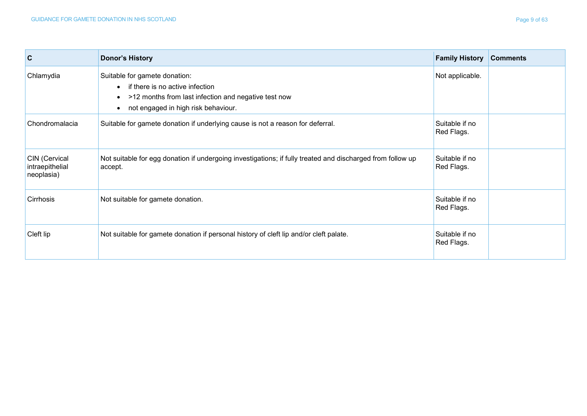| $\overline{c}$                                 | <b>Donor's History</b>                                                                                                                                              | <b>Family History</b>        | <b>Comments</b> |
|------------------------------------------------|---------------------------------------------------------------------------------------------------------------------------------------------------------------------|------------------------------|-----------------|
| Chlamydia                                      | Suitable for gamete donation:<br>• if there is no active infection<br>• >12 months from last infection and negative test now<br>not engaged in high risk behaviour. | Not applicable.              |                 |
| Chondromalacia                                 | Suitable for gamete donation if underlying cause is not a reason for deferral.                                                                                      | Suitable if no<br>Red Flags. |                 |
| CIN (Cervical<br>intraepithelial<br>neoplasia) | Not suitable for egg donation if undergoing investigations; if fully treated and discharged from follow up<br>accept.                                               | Suitable if no<br>Red Flags. |                 |
| Cirrhosis                                      | Not suitable for gamete donation.                                                                                                                                   | Suitable if no<br>Red Flags. |                 |
| Cleft lip                                      | Not suitable for gamete donation if personal history of cleft lip and/or cleft palate.                                                                              | Suitable if no<br>Red Flags. |                 |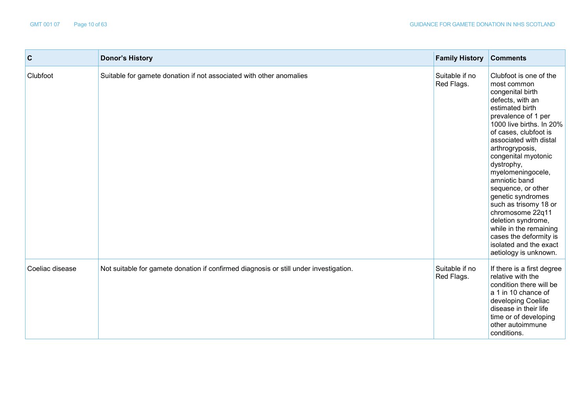| $\mathbf c$     | <b>Donor's History</b>                                                                | <b>Family History</b>        | <b>Comments</b>                                                                                                                                                                                                                                                                                                                                                                                                                                                                                                           |
|-----------------|---------------------------------------------------------------------------------------|------------------------------|---------------------------------------------------------------------------------------------------------------------------------------------------------------------------------------------------------------------------------------------------------------------------------------------------------------------------------------------------------------------------------------------------------------------------------------------------------------------------------------------------------------------------|
| Clubfoot        | Suitable for gamete donation if not associated with other anomalies                   | Suitable if no<br>Red Flags. | Clubfoot is one of the<br>most common<br>congenital birth<br>defects, with an<br>estimated birth<br>prevalence of 1 per<br>1000 live births. In 20%<br>of cases, clubfoot is<br>associated with distal<br>arthrogryposis,<br>congenital myotonic<br>dystrophy,<br>myelomeningocele,<br>amniotic band<br>sequence, or other<br>genetic syndromes<br>such as trisomy 18 or<br>chromosome 22q11<br>deletion syndrome,<br>while in the remaining<br>cases the deformity is<br>isolated and the exact<br>aetiology is unknown. |
| Coeliac disease | Not suitable for gamete donation if confirmed diagnosis or still under investigation. | Suitable if no<br>Red Flags. | If there is a first degree<br>relative with the<br>condition there will be<br>a 1 in 10 chance of<br>developing Coeliac<br>disease in their life<br>time or of developing<br>other autoimmune<br>conditions.                                                                                                                                                                                                                                                                                                              |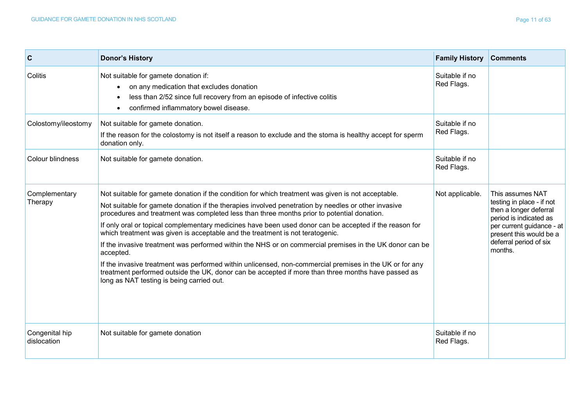| $\overline{c}$                | <b>Donor's History</b>                                                                                                                                                                                                                                                                                                                                                                                                                                                                                                                                                                                                                                                                                                                                                                                                                                                                   | <b>Family History</b>        | <b>Comments</b>                                                                                                                                                                                |
|-------------------------------|------------------------------------------------------------------------------------------------------------------------------------------------------------------------------------------------------------------------------------------------------------------------------------------------------------------------------------------------------------------------------------------------------------------------------------------------------------------------------------------------------------------------------------------------------------------------------------------------------------------------------------------------------------------------------------------------------------------------------------------------------------------------------------------------------------------------------------------------------------------------------------------|------------------------------|------------------------------------------------------------------------------------------------------------------------------------------------------------------------------------------------|
| Colitis                       | Not suitable for gamete donation if:<br>on any medication that excludes donation<br>$\bullet$<br>less than 2/52 since full recovery from an episode of infective colitis<br>confirmed inflammatory bowel disease.<br>$\bullet$                                                                                                                                                                                                                                                                                                                                                                                                                                                                                                                                                                                                                                                           | Suitable if no<br>Red Flags. |                                                                                                                                                                                                |
| Colostomy/ileostomy           | Not suitable for gamete donation.<br>If the reason for the colostomy is not itself a reason to exclude and the stoma is healthy accept for sperm<br>donation only.                                                                                                                                                                                                                                                                                                                                                                                                                                                                                                                                                                                                                                                                                                                       | Suitable if no<br>Red Flags. |                                                                                                                                                                                                |
| Colour blindness              | Not suitable for gamete donation.                                                                                                                                                                                                                                                                                                                                                                                                                                                                                                                                                                                                                                                                                                                                                                                                                                                        | Suitable if no<br>Red Flags. |                                                                                                                                                                                                |
| Complementary<br>Therapy      | Not suitable for gamete donation if the condition for which treatment was given is not acceptable.<br>Not suitable for gamete donation if the therapies involved penetration by needles or other invasive<br>procedures and treatment was completed less than three months prior to potential donation.<br>If only oral or topical complementary medicines have been used donor can be accepted if the reason for<br>which treatment was given is acceptable and the treatment is not teratogenic.<br>If the invasive treatment was performed within the NHS or on commercial premises in the UK donor can be<br>accepted.<br>If the invasive treatment was performed within unlicensed, non-commercial premises in the UK or for any<br>treatment performed outside the UK, donor can be accepted if more than three months have passed as<br>long as NAT testing is being carried out. | Not applicable.              | This assumes NAT<br>testing in place - if not<br>then a longer deferral<br>period is indicated as<br>per current guidance - at<br>present this would be a<br>deferral period of six<br>months. |
| Congenital hip<br>dislocation | Not suitable for gamete donation                                                                                                                                                                                                                                                                                                                                                                                                                                                                                                                                                                                                                                                                                                                                                                                                                                                         | Suitable if no<br>Red Flags. |                                                                                                                                                                                                |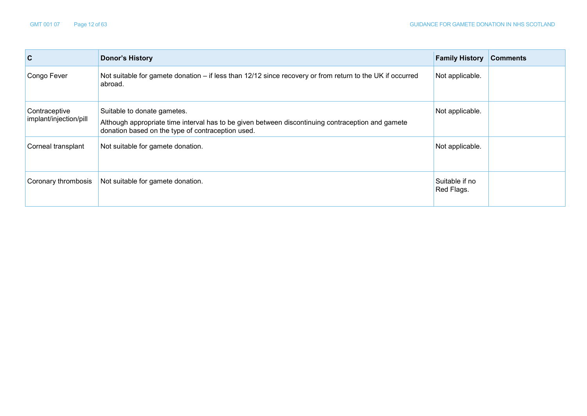| $\mathbf c$                             | <b>Donor's History</b>                                                                                                                                                                | <b>Family History</b>        | <b>Comments</b> |
|-----------------------------------------|---------------------------------------------------------------------------------------------------------------------------------------------------------------------------------------|------------------------------|-----------------|
| Congo Fever                             | Not suitable for gamete donation – if less than 12/12 since recovery or from return to the UK if occurred<br>abroad.                                                                  | Not applicable.              |                 |
| Contraceptive<br>implant/injection/pill | Suitable to donate gametes.<br>Although appropriate time interval has to be given between discontinuing contraception and gamete<br>donation based on the type of contraception used. | Not applicable.              |                 |
| Corneal transplant                      | Not suitable for gamete donation.                                                                                                                                                     | Not applicable.              |                 |
| Coronary thrombosis                     | Not suitable for gamete donation.                                                                                                                                                     | Suitable if no<br>Red Flags. |                 |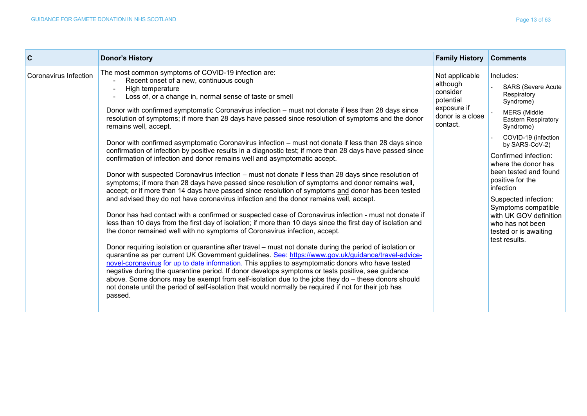| l C                   | <b>Donor's History</b>                                                                                                                                                                                                                                                                                                                                                                                                                                                                                                                                                                                                                                                                                                                                                                                                                                                                                                                                                                                                                                                                                                                                                                                                                                                                                                                                                                                                                                                                                                                                                                                                                                                                                                                                                                                                                                                                                                                                                                                                                                                                              | <b>Family History</b>                                                                              | <b>Comments</b>                                                                                                                                                                                                                                                                                                                                                                                                               |
|-----------------------|-----------------------------------------------------------------------------------------------------------------------------------------------------------------------------------------------------------------------------------------------------------------------------------------------------------------------------------------------------------------------------------------------------------------------------------------------------------------------------------------------------------------------------------------------------------------------------------------------------------------------------------------------------------------------------------------------------------------------------------------------------------------------------------------------------------------------------------------------------------------------------------------------------------------------------------------------------------------------------------------------------------------------------------------------------------------------------------------------------------------------------------------------------------------------------------------------------------------------------------------------------------------------------------------------------------------------------------------------------------------------------------------------------------------------------------------------------------------------------------------------------------------------------------------------------------------------------------------------------------------------------------------------------------------------------------------------------------------------------------------------------------------------------------------------------------------------------------------------------------------------------------------------------------------------------------------------------------------------------------------------------------------------------------------------------------------------------------------------------|----------------------------------------------------------------------------------------------------|-------------------------------------------------------------------------------------------------------------------------------------------------------------------------------------------------------------------------------------------------------------------------------------------------------------------------------------------------------------------------------------------------------------------------------|
| Coronavirus Infection | The most common symptoms of COVID-19 infection are:<br>Recent onset of a new, continuous cough<br>High temperature<br>Loss of, or a change in, normal sense of taste or smell<br>Donor with confirmed symptomatic Coronavirus infection - must not donate if less than 28 days since<br>resolution of symptoms; if more than 28 days have passed since resolution of symptoms and the donor<br>remains well, accept.<br>Donor with confirmed asymptomatic Coronavirus infection – must not donate if less than 28 days since<br>confirmation of infection by positive results in a diagnostic test; if more than 28 days have passed since<br>confirmation of infection and donor remains well and asymptomatic accept.<br>Donor with suspected Coronavirus infection – must not donate if less than 28 days since resolution of<br>symptoms; if more than 28 days have passed since resolution of symptoms and donor remains well,<br>accept; or if more than 14 days have passed since resolution of symptoms and donor has been tested<br>and advised they do not have coronavirus infection and the donor remains well, accept.<br>Donor has had contact with a confirmed or suspected case of Coronavirus infection - must not donate if<br>less than 10 days from the first day of isolation; if more than 10 days since the first day of isolation and<br>the donor remained well with no symptoms of Coronavirus infection, accept.<br>Donor requiring isolation or quarantine after travel – must not donate during the period of isolation or<br>quarantine as per current UK Government guidelines. See: https://www.gov.uk/guidance/travel-advice-<br>novel-coronavirus for up to date information. This applies to asymptomatic donors who have tested<br>negative during the quarantine period. If donor develops symptoms or tests positive, see guidance<br>above. Some donors may be exempt from self-isolation due to the jobs they do - these donors should<br>not donate until the period of self-isolation that would normally be required if not for their job has<br>passed. | Not applicable<br>although<br>consider<br>potential<br>exposure if<br>donor is a close<br>contact. | Includes:<br><b>SARS (Severe Acute</b><br>Respiratory<br>Syndrome)<br><b>MERS</b> (Middle<br><b>Eastern Respiratory</b><br>Syndrome)<br>COVID-19 (infection<br>by SARS-CoV-2)<br>Confirmed infection:<br>where the donor has<br>been tested and found<br>positive for the<br>infection<br>Suspected infection:<br>Symptoms compatible<br>with UK GOV definition<br>who has not been<br>tested or is awaiting<br>test results. |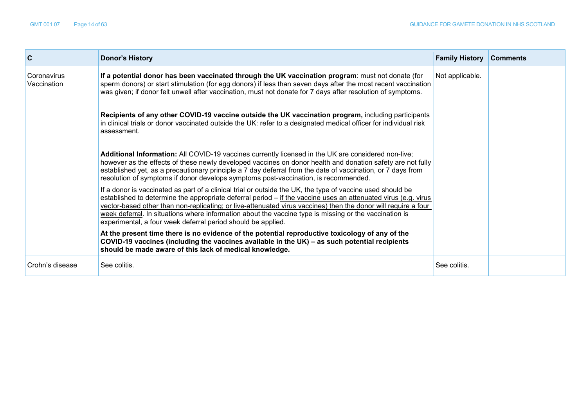| C                          | <b>Donor's History</b>                                                                                                                                                                                                                                                                                                                                                                                                                                                                                                     | <b>Family History</b> | <b>Comments</b> |
|----------------------------|----------------------------------------------------------------------------------------------------------------------------------------------------------------------------------------------------------------------------------------------------------------------------------------------------------------------------------------------------------------------------------------------------------------------------------------------------------------------------------------------------------------------------|-----------------------|-----------------|
| Coronavirus<br>Vaccination | If a potential donor has been vaccinated through the UK vaccination program: must not donate (for<br>sperm donors) or start stimulation (for egg donors) if less than seven days after the most recent vaccination<br>was given; if donor felt unwell after vaccination, must not donate for 7 days after resolution of symptoms.                                                                                                                                                                                          | Not applicable.       |                 |
|                            | Recipients of any other COVID-19 vaccine outside the UK vaccination program, including participants<br>in clinical trials or donor vaccinated outside the UK: refer to a designated medical officer for individual risk<br>assessment.                                                                                                                                                                                                                                                                                     |                       |                 |
|                            | Additional Information: All COVID-19 vaccines currently licensed in the UK are considered non-live;<br>however as the effects of these newly developed vaccines on donor health and donation safety are not fully<br>established yet, as a precautionary principle a 7 day deferral from the date of vaccination, or 7 days from<br>resolution of symptoms if donor develops symptoms post-vaccination, is recommended.                                                                                                    |                       |                 |
|                            | If a donor is vaccinated as part of a clinical trial or outside the UK, the type of vaccine used should be<br>established to determine the appropriate deferral period $-$ if the vaccine uses an attenuated virus (e.g. virus<br>vector-based other than non-replicating; or live-attenuated virus vaccines) then the donor will require a four<br>week deferral. In situations where information about the vaccine type is missing or the vaccination is<br>experimental, a four week deferral period should be applied. |                       |                 |
|                            | At the present time there is no evidence of the potential reproductive toxicology of any of the<br>COVID-19 vaccines (including the vaccines available in the UK) – as such potential recipients<br>should be made aware of this lack of medical knowledge.                                                                                                                                                                                                                                                                |                       |                 |
| Crohn's disease            | See colitis.                                                                                                                                                                                                                                                                                                                                                                                                                                                                                                               | See colitis.          |                 |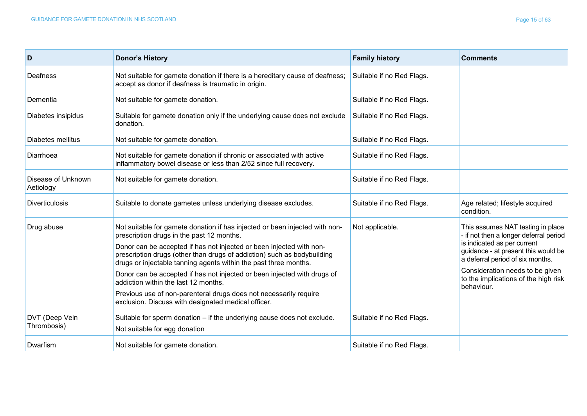| D                               | <b>Donor's History</b>                                                                                                                                                                                              | <b>Family history</b>     | <b>Comments</b>                                                                                        |
|---------------------------------|---------------------------------------------------------------------------------------------------------------------------------------------------------------------------------------------------------------------|---------------------------|--------------------------------------------------------------------------------------------------------|
| Deafness                        | Not suitable for gamete donation if there is a hereditary cause of deafness;<br>accept as donor if deafness is traumatic in origin.                                                                                 | Suitable if no Red Flags. |                                                                                                        |
| Dementia                        | Not suitable for gamete donation.                                                                                                                                                                                   | Suitable if no Red Flags. |                                                                                                        |
| Diabetes insipidus              | Suitable for gamete donation only if the underlying cause does not exclude<br>donation.                                                                                                                             | Suitable if no Red Flags. |                                                                                                        |
| Diabetes mellitus               | Not suitable for gamete donation.                                                                                                                                                                                   | Suitable if no Red Flags. |                                                                                                        |
| Diarrhoea                       | Not suitable for gamete donation if chronic or associated with active<br>inflammatory bowel disease or less than 2/52 since full recovery.                                                                          | Suitable if no Red Flags. |                                                                                                        |
| Disease of Unknown<br>Aetiology | Not suitable for gamete donation.                                                                                                                                                                                   | Suitable if no Red Flags. |                                                                                                        |
| <b>Diverticulosis</b>           | Suitable to donate gametes unless underlying disease excludes.                                                                                                                                                      | Suitable if no Red Flags. | Age related; lifestyle acquired<br>condition.                                                          |
| Drug abuse                      | Not suitable for gamete donation if has injected or been injected with non-<br>prescription drugs in the past 12 months.                                                                                            | Not applicable.           | This assumes NAT testing in place<br>- if not then a longer deferral period                            |
|                                 | Donor can be accepted if has not injected or been injected with non-<br>prescription drugs (other than drugs of addiction) such as bodybuilding<br>drugs or injectable tanning agents within the past three months. |                           | is indicated as per current<br>guidance - at present this would be<br>a deferral period of six months. |
|                                 | Donor can be accepted if has not injected or been injected with drugs of<br>addiction within the last 12 months.                                                                                                    |                           | Consideration needs to be given<br>to the implications of the high risk<br>behaviour.                  |
|                                 | Previous use of non-parenteral drugs does not necessarily require<br>exclusion. Discuss with designated medical officer.                                                                                            |                           |                                                                                                        |
| DVT (Deep Vein<br>Thrombosis)   | Suitable for sperm donation - if the underlying cause does not exclude.<br>Not suitable for egg donation                                                                                                            | Suitable if no Red Flags. |                                                                                                        |
| Dwarfism                        | Not suitable for gamete donation.                                                                                                                                                                                   | Suitable if no Red Flags. |                                                                                                        |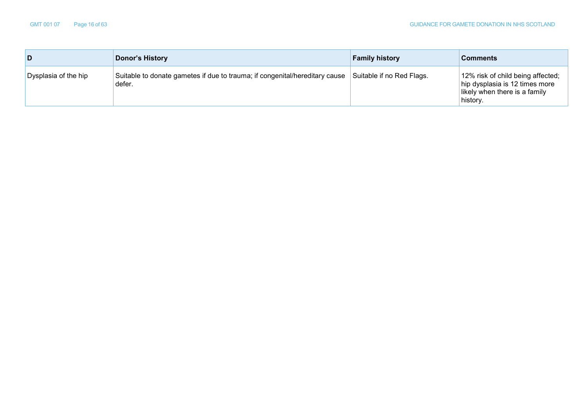|                      | Donor's History                                                                       | <b>Family history</b>     | <b>Comments</b>                                                                                                  |
|----------------------|---------------------------------------------------------------------------------------|---------------------------|------------------------------------------------------------------------------------------------------------------|
| Dysplasia of the hip | Suitable to donate gametes if due to trauma; if congenital/hereditary cause<br>defer. | Suitable if no Red Flags. | 12% risk of child being affected;<br>hip dysplasia is 12 times more<br>likely when there is a family<br>history. |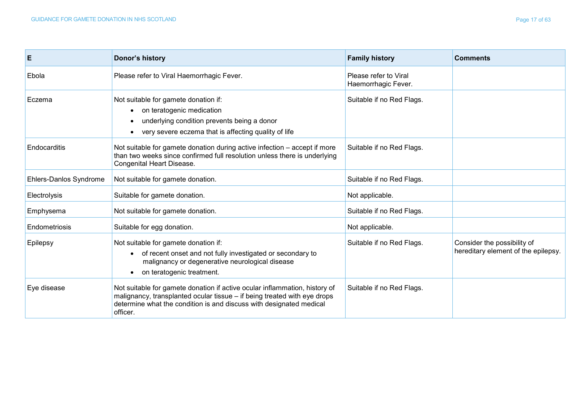| E                             | Donor's history                                                                                                                                                                                                                           | <b>Family history</b>                        | <b>Comments</b>                                                    |
|-------------------------------|-------------------------------------------------------------------------------------------------------------------------------------------------------------------------------------------------------------------------------------------|----------------------------------------------|--------------------------------------------------------------------|
| Ebola                         | Please refer to Viral Haemorrhagic Fever.                                                                                                                                                                                                 | Please refer to Viral<br>Haemorrhagic Fever. |                                                                    |
| Eczema                        | Not suitable for gamete donation if:<br>on teratogenic medication<br>underlying condition prevents being a donor<br>very severe eczema that is affecting quality of life                                                                  | Suitable if no Red Flags.                    |                                                                    |
| Endocarditis                  | Not suitable for gamete donation during active infection - accept if more<br>than two weeks since confirmed full resolution unless there is underlying<br>Congenital Heart Disease.                                                       | Suitable if no Red Flags.                    |                                                                    |
| <b>Ehlers-Danlos Syndrome</b> | Not suitable for gamete donation.                                                                                                                                                                                                         | Suitable if no Red Flags.                    |                                                                    |
| Electrolysis                  | Suitable for gamete donation.                                                                                                                                                                                                             | Not applicable.                              |                                                                    |
| Emphysema                     | Not suitable for gamete donation.                                                                                                                                                                                                         | Suitable if no Red Flags.                    |                                                                    |
| Endometriosis                 | Suitable for egg donation.                                                                                                                                                                                                                | Not applicable.                              |                                                                    |
| Epilepsy                      | Not suitable for gamete donation if:<br>of recent onset and not fully investigated or secondary to<br>malignancy or degenerative neurological disease<br>on teratogenic treatment.                                                        | Suitable if no Red Flags.                    | Consider the possibility of<br>hereditary element of the epilepsy. |
| Eye disease                   | Not suitable for gamete donation if active ocular inflammation, history of<br>malignancy, transplanted ocular tissue - if being treated with eye drops<br>determine what the condition is and discuss with designated medical<br>officer. | Suitable if no Red Flags.                    |                                                                    |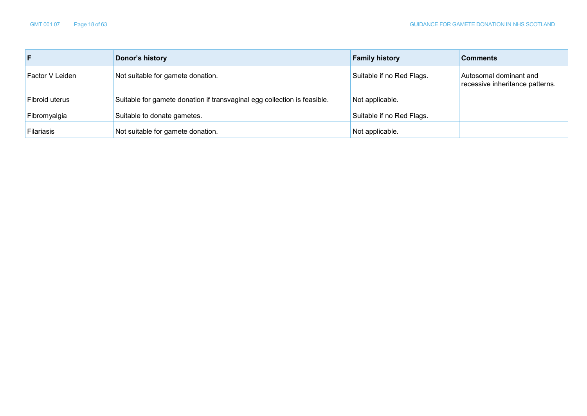| F.                | Donor's history                                                          | <b>Family history</b>     | <b>Comments</b>                                           |
|-------------------|--------------------------------------------------------------------------|---------------------------|-----------------------------------------------------------|
| Factor V Leiden   | Not suitable for gamete donation.                                        | Suitable if no Red Flags. | Autosomal dominant and<br>recessive inheritance patterns. |
| Fibroid uterus    | Suitable for gamete donation if transvaginal egg collection is feasible. | Not applicable.           |                                                           |
| Fibromyalgia      | Suitable to donate gametes.                                              | Suitable if no Red Flags. |                                                           |
| <b>Filariasis</b> | Not suitable for gamete donation.                                        | Not applicable.           |                                                           |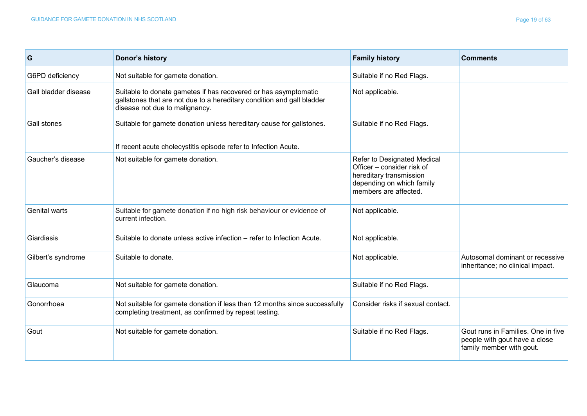| G                    | Donor's history                                                                                                                                                             | <b>Family history</b>                                                                                                                      | <b>Comments</b>                                                                                 |
|----------------------|-----------------------------------------------------------------------------------------------------------------------------------------------------------------------------|--------------------------------------------------------------------------------------------------------------------------------------------|-------------------------------------------------------------------------------------------------|
| G6PD deficiency      | Not suitable for gamete donation.                                                                                                                                           | Suitable if no Red Flags.                                                                                                                  |                                                                                                 |
| Gall bladder disease | Suitable to donate gametes if has recovered or has asymptomatic<br>gallstones that are not due to a hereditary condition and gall bladder<br>disease not due to malignancy. | Not applicable.                                                                                                                            |                                                                                                 |
| Gall stones          | Suitable for gamete donation unless hereditary cause for gallstones.<br>If recent acute cholecystitis episode refer to Infection Acute.                                     | Suitable if no Red Flags.                                                                                                                  |                                                                                                 |
| Gaucher's disease    | Not suitable for gamete donation.                                                                                                                                           | Refer to Designated Medical<br>Officer – consider risk of<br>hereditary transmission<br>depending on which family<br>members are affected. |                                                                                                 |
| Genital warts        | Suitable for gamete donation if no high risk behaviour or evidence of<br>current infection.                                                                                 | Not applicable.                                                                                                                            |                                                                                                 |
| Giardiasis           | Suitable to donate unless active infection – refer to Infection Acute.                                                                                                      | Not applicable.                                                                                                                            |                                                                                                 |
| Gilbert's syndrome   | Suitable to donate.                                                                                                                                                         | Not applicable.                                                                                                                            | Autosomal dominant or recessive<br>inheritance; no clinical impact.                             |
| Glaucoma             | Not suitable for gamete donation.                                                                                                                                           | Suitable if no Red Flags.                                                                                                                  |                                                                                                 |
| Gonorrhoea           | Not suitable for gamete donation if less than 12 months since successfully<br>completing treatment, as confirmed by repeat testing.                                         | Consider risks if sexual contact.                                                                                                          |                                                                                                 |
| Gout                 | Not suitable for gamete donation.                                                                                                                                           | Suitable if no Red Flags.                                                                                                                  | Gout runs in Families. One in five<br>people with gout have a close<br>family member with gout. |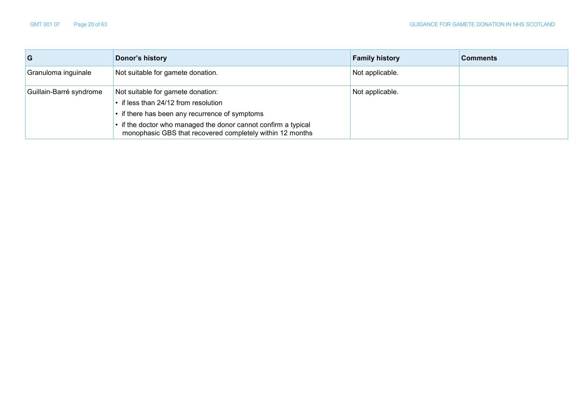| G                       | Donor's history                                                                                                                                                                                                                                            | <b>Family history</b> | <b>Comments</b> |
|-------------------------|------------------------------------------------------------------------------------------------------------------------------------------------------------------------------------------------------------------------------------------------------------|-----------------------|-----------------|
| Granuloma inguinale     | Not suitable for gamete donation.                                                                                                                                                                                                                          | Not applicable.       |                 |
| Guillain-Barré syndrome | Not suitable for gamete donation:<br>• if less than 24/12 from resolution<br>• if there has been any recurrence of symptoms<br>• if the doctor who managed the donor cannot confirm a typical<br>monophasic GBS that recovered completely within 12 months | Not applicable.       |                 |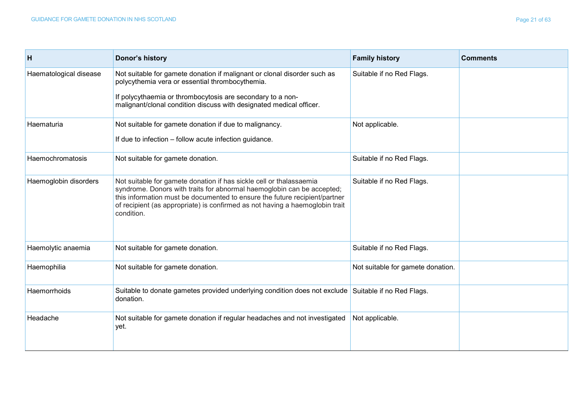| H                      | Donor's history                                                                                                                                                                                                                                                                                                           | <b>Family history</b>             | <b>Comments</b> |
|------------------------|---------------------------------------------------------------------------------------------------------------------------------------------------------------------------------------------------------------------------------------------------------------------------------------------------------------------------|-----------------------------------|-----------------|
| Haematological disease | Not suitable for gamete donation if malignant or clonal disorder such as<br>polycythemia vera or essential thrombocythemia.                                                                                                                                                                                               | Suitable if no Red Flags.         |                 |
|                        | If polycythaemia or thrombocytosis are secondary to a non-<br>malignant/clonal condition discuss with designated medical officer.                                                                                                                                                                                         |                                   |                 |
| Haematuria             | Not suitable for gamete donation if due to malignancy.<br>If due to infection - follow acute infection guidance.                                                                                                                                                                                                          | Not applicable.                   |                 |
| Haemochromatosis       | Not suitable for gamete donation.                                                                                                                                                                                                                                                                                         | Suitable if no Red Flags.         |                 |
| Haemoglobin disorders  | Not suitable for gamete donation if has sickle cell or thalassaemia<br>syndrome. Donors with traits for abnormal haemoglobin can be accepted;<br>this information must be documented to ensure the future recipient/partner<br>of recipient (as appropriate) is confirmed as not having a haemoglobin trait<br>condition. | Suitable if no Red Flags.         |                 |
| Haemolytic anaemia     | Not suitable for gamete donation.                                                                                                                                                                                                                                                                                         | Suitable if no Red Flags.         |                 |
| Haemophilia            | Not suitable for gamete donation.                                                                                                                                                                                                                                                                                         | Not suitable for gamete donation. |                 |
| <b>Haemorrhoids</b>    | Suitable to donate gametes provided underlying condition does not exclude Suitable if no Red Flags.<br>donation.                                                                                                                                                                                                          |                                   |                 |
| Headache               | Not suitable for gamete donation if regular headaches and not investigated<br>yet.                                                                                                                                                                                                                                        | Not applicable.                   |                 |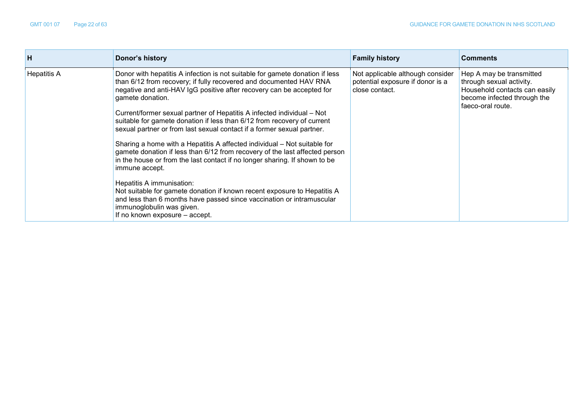| н                  | Donor's history                                                                                                                                                                                                                                                                                                                                                                 | <b>Family history</b>                                 | <b>Comments</b>                                      |                                                              |
|--------------------|---------------------------------------------------------------------------------------------------------------------------------------------------------------------------------------------------------------------------------------------------------------------------------------------------------------------------------------------------------------------------------|-------------------------------------------------------|------------------------------------------------------|--------------------------------------------------------------|
| <b>Hepatitis A</b> | Donor with hepatitis A infection is not suitable for gamete donation if less<br>than 6/12 from recovery; if fully recovered and documented HAV RNA<br>potential exposure if donor is a<br>negative and anti-HAV IgG positive after recovery can be accepted for<br>close contact.<br>gamete donation.<br>Current/former sexual partner of Hepatitis A infected individual – Not | Not applicable although consider<br>faeco-oral route. | Hep A may be transmitted<br>through sexual activity. | Household contacts can easily<br>become infected through the |
|                    | suitable for gamete donation if less than 6/12 from recovery of current<br>sexual partner or from last sexual contact if a former sexual partner.                                                                                                                                                                                                                               |                                                       |                                                      |                                                              |
|                    | Sharing a home with a Hepatitis A affected individual – Not suitable for<br>gamete donation if less than 6/12 from recovery of the last affected person<br>in the house or from the last contact if no longer sharing. If shown to be<br>immune accept.                                                                                                                         |                                                       |                                                      |                                                              |
|                    | Hepatitis A immunisation:<br>Not suitable for gamete donation if known recent exposure to Hepatitis A<br>and less than 6 months have passed since vaccination or intramuscular<br>immunoglobulin was given.<br>If no known exposure – accept.                                                                                                                                   |                                                       |                                                      |                                                              |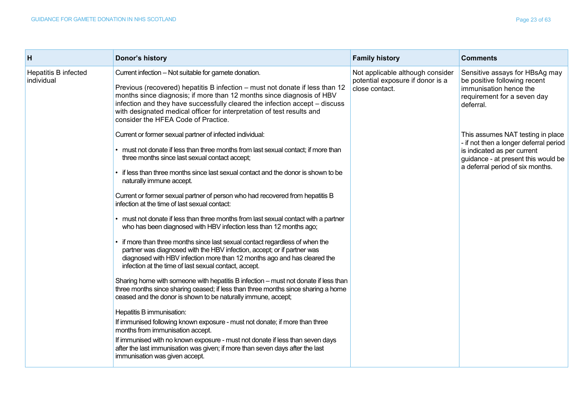| H                                  | Donor's history                                                                                                                                                                                                                                                                                                                                                                                                                                                                                                                                                                                                                                                                                                                                                                                                                                                                                                                                                                                                                                                                                                                                                                                                                                                                                                                                                                                                                                                                                                | <b>Family history</b>                                                                  | <b>Comments</b>                                                                                                                                                                       |
|------------------------------------|----------------------------------------------------------------------------------------------------------------------------------------------------------------------------------------------------------------------------------------------------------------------------------------------------------------------------------------------------------------------------------------------------------------------------------------------------------------------------------------------------------------------------------------------------------------------------------------------------------------------------------------------------------------------------------------------------------------------------------------------------------------------------------------------------------------------------------------------------------------------------------------------------------------------------------------------------------------------------------------------------------------------------------------------------------------------------------------------------------------------------------------------------------------------------------------------------------------------------------------------------------------------------------------------------------------------------------------------------------------------------------------------------------------------------------------------------------------------------------------------------------------|----------------------------------------------------------------------------------------|---------------------------------------------------------------------------------------------------------------------------------------------------------------------------------------|
| Hepatitis B infected<br>individual | Current infection - Not suitable for gamete donation.<br>Previous (recovered) hepatitis B infection - must not donate if less than 12<br>months since diagnosis; if more than 12 months since diagnosis of HBV<br>infection and they have successfully cleared the infection accept – discuss<br>with designated medical officer for interpretation of test results and<br>consider the HFEA Code of Practice.                                                                                                                                                                                                                                                                                                                                                                                                                                                                                                                                                                                                                                                                                                                                                                                                                                                                                                                                                                                                                                                                                                 | Not applicable although consider<br>potential exposure if donor is a<br>close contact. | Sensitive assays for HBsAg may<br>be positive following recent<br>immunisation hence the<br>requirement for a seven day<br>deferral.                                                  |
|                                    | Current or former sexual partner of infected individual:<br>• must not donate if less than three months from last sexual contact; if more than<br>three months since last sexual contact accept;<br>if less than three months since last sexual contact and the donor is shown to be<br>naturally immune accept.<br>Current or former sexual partner of person who had recovered from hepatitis B<br>infection at the time of last sexual contact:<br>must not donate if less than three months from last sexual contact with a partner<br>who has been diagnosed with HBV infection less than 12 months ago;<br>• if more than three months since last sexual contact regardless of when the<br>partner was diagnosed with the HBV infection, accept; or if partner was<br>diagnosed with HBV infection more than 12 months ago and has cleared the<br>infection at the time of last sexual contact, accept.<br>Sharing home with someone with hepatitis B infection - must not donate if less than<br>three months since sharing ceased; if less than three months since sharing a home<br>ceased and the donor is shown to be naturally immune, accept;<br>Hepatitis B immunisation:<br>If immunised following known exposure - must not donate; if more than three<br>months from immunisation accept.<br>If immunised with no known exposure - must not donate if less than seven days<br>after the last immunisation was given; if more than seven days after the last<br>immunisation was given accept. |                                                                                        | This assumes NAT testing in place<br>- if not then a longer deferral period<br>is indicated as per current<br>guidance - at present this would be<br>a deferral period of six months. |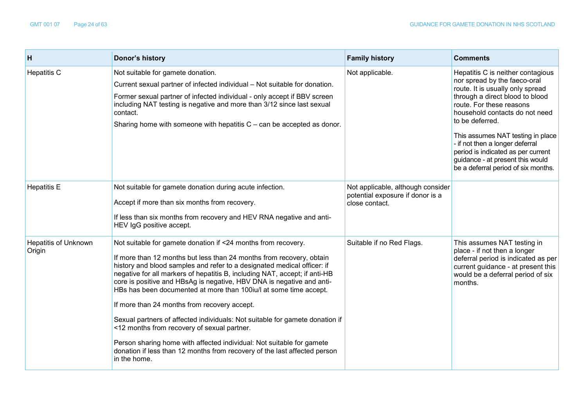| H                                     | Donor's history                                                                                                                                                                                                                                                                                                                                                                                                                                                                                                                                                                                                                                                                                                                                                                                   | <b>Family history</b>                                                                   | <b>Comments</b>                                                                                                                                                                                                                                                                                                                                                                                                    |
|---------------------------------------|---------------------------------------------------------------------------------------------------------------------------------------------------------------------------------------------------------------------------------------------------------------------------------------------------------------------------------------------------------------------------------------------------------------------------------------------------------------------------------------------------------------------------------------------------------------------------------------------------------------------------------------------------------------------------------------------------------------------------------------------------------------------------------------------------|-----------------------------------------------------------------------------------------|--------------------------------------------------------------------------------------------------------------------------------------------------------------------------------------------------------------------------------------------------------------------------------------------------------------------------------------------------------------------------------------------------------------------|
| <b>Hepatitis C</b>                    | Not suitable for gamete donation.<br>Current sexual partner of infected individual - Not suitable for donation.<br>Former sexual partner of infected individual - only accept if BBV screen<br>including NAT testing is negative and more than 3/12 since last sexual<br>contact.<br>Sharing home with someone with hepatitis $C$ – can be accepted as donor.                                                                                                                                                                                                                                                                                                                                                                                                                                     | Not applicable.                                                                         | Hepatitis C is neither contagious<br>nor spread by the faeco-oral<br>route. It is usually only spread<br>through a direct blood to blood<br>route. For these reasons<br>household contacts do not need<br>to be deferred.<br>This assumes NAT testing in place<br>- if not then a longer deferral<br>period is indicated as per current<br>guidance - at present this would<br>be a deferral period of six months. |
| <b>Hepatitis E</b>                    | Not suitable for gamete donation during acute infection.<br>Accept if more than six months from recovery.<br>If less than six months from recovery and HEV RNA negative and anti-<br>HEV IgG positive accept.                                                                                                                                                                                                                                                                                                                                                                                                                                                                                                                                                                                     | Not applicable, although consider<br>potential exposure if donor is a<br>close contact. |                                                                                                                                                                                                                                                                                                                                                                                                                    |
| <b>Hepatitis of Unknown</b><br>Origin | Not suitable for gamete donation if <24 months from recovery.<br>If more than 12 months but less than 24 months from recovery, obtain<br>history and blood samples and refer to a designated medical officer: if<br>negative for all markers of hepatitis B, including NAT, accept; if anti-HB<br>core is positive and HBsAg is negative, HBV DNA is negative and anti-<br>HBs has been documented at more than 100iu/l at some time accept.<br>If more than 24 months from recovery accept.<br>Sexual partners of affected individuals: Not suitable for gamete donation if<br><12 months from recovery of sexual partner.<br>Person sharing home with affected individual: Not suitable for gamete<br>donation if less than 12 months from recovery of the last affected person<br>in the home. | Suitable if no Red Flags.                                                               | This assumes NAT testing in<br>place - if not then a longer<br>deferral period is indicated as per<br>current guidance - at present this<br>would be a deferral period of six<br>months.                                                                                                                                                                                                                           |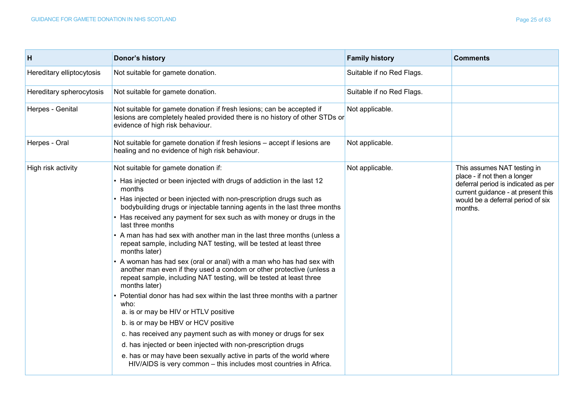| н                         | Donor's history                                                                                                                                                                                                                                                                                                                                                                                                                                                                                                                                                                                                                                                                                                                                                                                                                                                                                                                                                                                                                                                                                                                                                                                                                       | <b>Family history</b>     | <b>Comments</b>                                                                                                                                                                          |
|---------------------------|---------------------------------------------------------------------------------------------------------------------------------------------------------------------------------------------------------------------------------------------------------------------------------------------------------------------------------------------------------------------------------------------------------------------------------------------------------------------------------------------------------------------------------------------------------------------------------------------------------------------------------------------------------------------------------------------------------------------------------------------------------------------------------------------------------------------------------------------------------------------------------------------------------------------------------------------------------------------------------------------------------------------------------------------------------------------------------------------------------------------------------------------------------------------------------------------------------------------------------------|---------------------------|------------------------------------------------------------------------------------------------------------------------------------------------------------------------------------------|
| Hereditary elliptocytosis | Not suitable for gamete donation.                                                                                                                                                                                                                                                                                                                                                                                                                                                                                                                                                                                                                                                                                                                                                                                                                                                                                                                                                                                                                                                                                                                                                                                                     | Suitable if no Red Flags. |                                                                                                                                                                                          |
| Hereditary spherocytosis  | Not suitable for gamete donation.                                                                                                                                                                                                                                                                                                                                                                                                                                                                                                                                                                                                                                                                                                                                                                                                                                                                                                                                                                                                                                                                                                                                                                                                     | Suitable if no Red Flags. |                                                                                                                                                                                          |
| Herpes - Genital          | Not suitable for gamete donation if fresh lesions; can be accepted if<br>lesions are completely healed provided there is no history of other STDs or<br>evidence of high risk behaviour.                                                                                                                                                                                                                                                                                                                                                                                                                                                                                                                                                                                                                                                                                                                                                                                                                                                                                                                                                                                                                                              | Not applicable.           |                                                                                                                                                                                          |
| Herpes - Oral             | Not suitable for gamete donation if fresh lesions - accept if lesions are<br>healing and no evidence of high risk behaviour.                                                                                                                                                                                                                                                                                                                                                                                                                                                                                                                                                                                                                                                                                                                                                                                                                                                                                                                                                                                                                                                                                                          | Not applicable.           |                                                                                                                                                                                          |
| High risk activity        | Not suitable for gamete donation if:<br>• Has injected or been injected with drugs of addiction in the last 12<br>months<br>• Has injected or been injected with non-prescription drugs such as<br>bodybuilding drugs or injectable tanning agents in the last three months<br>• Has received any payment for sex such as with money or drugs in the<br>last three months<br>• A man has had sex with another man in the last three months (unless a<br>repeat sample, including NAT testing, will be tested at least three<br>months later)<br>• A woman has had sex (oral or anal) with a man who has had sex with<br>another man even if they used a condom or other protective (unless a<br>repeat sample, including NAT testing, will be tested at least three<br>months later)<br>Potential donor has had sex within the last three months with a partner<br>who:<br>a. is or may be HIV or HTLV positive<br>b. is or may be HBV or HCV positive<br>c. has received any payment such as with money or drugs for sex<br>d. has injected or been injected with non-prescription drugs<br>e. has or may have been sexually active in parts of the world where<br>HIV/AIDS is very common - this includes most countries in Africa. | Not applicable.           | This assumes NAT testing in<br>place - if not then a longer<br>deferral period is indicated as per<br>current guidance - at present this<br>would be a deferral period of six<br>months. |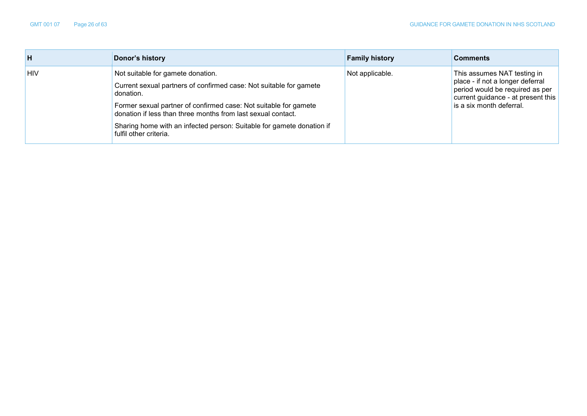| н          | Donor's history                                                                                                                                                                                                                                                                                                                                             | <b>Family history</b> | <b>Comments</b>                                                                                                                                                      |
|------------|-------------------------------------------------------------------------------------------------------------------------------------------------------------------------------------------------------------------------------------------------------------------------------------------------------------------------------------------------------------|-----------------------|----------------------------------------------------------------------------------------------------------------------------------------------------------------------|
| <b>HIV</b> | Not suitable for gamete donation.<br>Current sexual partners of confirmed case: Not suitable for gamete<br>donation.<br>Former sexual partner of confirmed case: Not suitable for gamete<br>donation if less than three months from last sexual contact.<br>Sharing home with an infected person: Suitable for gamete donation if<br>fulfil other criteria. | Not applicable.       | This assumes NAT testing in<br>place - if not a longer deferral<br>period would be required as per<br>current guidance - at present this<br>is a six month deferral. |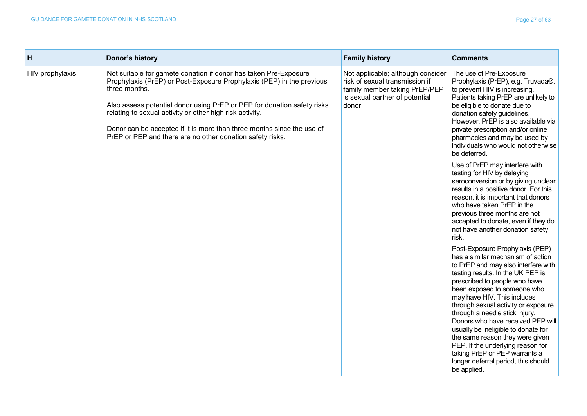| н               | Donor's history                                                                                                                                                                                                                                                                                                                                                                                                                          | <b>Family history</b>                                                                                                                            | <b>Comments</b>                                                                                                                                                                                                                                                                                                                                                                                                                                                                                                                                                     |
|-----------------|------------------------------------------------------------------------------------------------------------------------------------------------------------------------------------------------------------------------------------------------------------------------------------------------------------------------------------------------------------------------------------------------------------------------------------------|--------------------------------------------------------------------------------------------------------------------------------------------------|---------------------------------------------------------------------------------------------------------------------------------------------------------------------------------------------------------------------------------------------------------------------------------------------------------------------------------------------------------------------------------------------------------------------------------------------------------------------------------------------------------------------------------------------------------------------|
| HIV prophylaxis | Not suitable for gamete donation if donor has taken Pre-Exposure<br>Prophylaxis (PrEP) or Post-Exposure Prophylaxis (PEP) in the previous<br>three months.<br>Also assess potential donor using PrEP or PEP for donation safety risks<br>relating to sexual activity or other high risk activity.<br>Donor can be accepted if it is more than three months since the use of<br>PrEP or PEP and there are no other donation safety risks. | Not applicable; although consider<br>risk of sexual transmission if<br>family member taking PrEP/PEP<br>is sexual partner of potential<br>donor. | The use of Pre-Exposure<br>Prophylaxis (PrEP), e.g. Truvada®,<br>to prevent HIV is increasing.<br>Patients taking PrEP are unlikely to<br>be eligible to donate due to<br>donation safety guidelines.<br>However, PrEP is also available via<br>private prescription and/or online<br>pharmacies and may be used by<br>individuals who would not otherwise<br>be deferred.                                                                                                                                                                                          |
|                 |                                                                                                                                                                                                                                                                                                                                                                                                                                          |                                                                                                                                                  | Use of PrEP may interfere with<br>testing for HIV by delaying<br>seroconversion or by giving unclear<br>results in a positive donor. For this<br>reason, it is important that donors<br>who have taken PrEP in the<br>previous three months are not<br>accepted to donate, even if they do<br>not have another donation safety<br>risk.                                                                                                                                                                                                                             |
|                 |                                                                                                                                                                                                                                                                                                                                                                                                                                          |                                                                                                                                                  | Post-Exposure Prophylaxis (PEP)<br>has a similar mechanism of action<br>to PrEP and may also interfere with<br>testing results. In the UK PEP is<br>prescribed to people who have<br>been exposed to someone who<br>may have HIV. This includes<br>through sexual activity or exposure<br>through a needle stick injury.<br>Donors who have received PEP will<br>usually be ineligible to donate for<br>the same reason they were given<br>PEP. If the underlying reason for<br>taking PrEP or PEP warrants a<br>longer deferral period, this should<br>be applied. |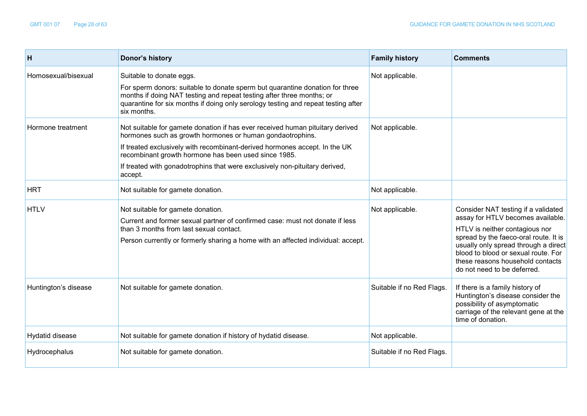| н                    | Donor's history                                                                                                                                                                                                                                                                                                                                                            | <b>Family history</b>     | <b>Comments</b>                                                                                                                                                                                                                                                                                       |
|----------------------|----------------------------------------------------------------------------------------------------------------------------------------------------------------------------------------------------------------------------------------------------------------------------------------------------------------------------------------------------------------------------|---------------------------|-------------------------------------------------------------------------------------------------------------------------------------------------------------------------------------------------------------------------------------------------------------------------------------------------------|
| Homosexual/bisexual  | Suitable to donate eggs.<br>For sperm donors: suitable to donate sperm but quarantine donation for three<br>months if doing NAT testing and repeat testing after three months; or<br>quarantine for six months if doing only serology testing and repeat testing after<br>six months.                                                                                      | Not applicable.           |                                                                                                                                                                                                                                                                                                       |
| Hormone treatment    | Not suitable for gamete donation if has ever received human pituitary derived<br>hormones such as growth hormones or human gondaotrophins.<br>If treated exclusively with recombinant-derived hormones accept. In the UK<br>recombinant growth hormone has been used since 1985.<br>If treated with gonadotrophins that were exclusively non-pituitary derived,<br>accept. | Not applicable.           |                                                                                                                                                                                                                                                                                                       |
| <b>HRT</b>           | Not suitable for gamete donation.                                                                                                                                                                                                                                                                                                                                          | Not applicable.           |                                                                                                                                                                                                                                                                                                       |
| <b>HTLV</b>          | Not suitable for gamete donation.<br>Current and former sexual partner of confirmed case: must not donate if less<br>than 3 months from last sexual contact.<br>Person currently or formerly sharing a home with an affected individual: accept.                                                                                                                           | Not applicable.           | Consider NAT testing if a validated<br>assay for HTLV becomes available.<br>HTLV is neither contagious nor<br>spread by the faeco-oral route. It is<br>usually only spread through a direct<br>blood to blood or sexual route. For<br>these reasons household contacts<br>do not need to be deferred. |
| Huntington's disease | Not suitable for gamete donation.                                                                                                                                                                                                                                                                                                                                          | Suitable if no Red Flags. | If there is a family history of<br>Huntington's disease consider the<br>possibility of asymptomatic<br>carriage of the relevant gene at the<br>time of donation.                                                                                                                                      |
| Hydatid disease      | Not suitable for gamete donation if history of hydatid disease.                                                                                                                                                                                                                                                                                                            | Not applicable.           |                                                                                                                                                                                                                                                                                                       |
| Hydrocephalus        | Not suitable for gamete donation.                                                                                                                                                                                                                                                                                                                                          | Suitable if no Red Flags. |                                                                                                                                                                                                                                                                                                       |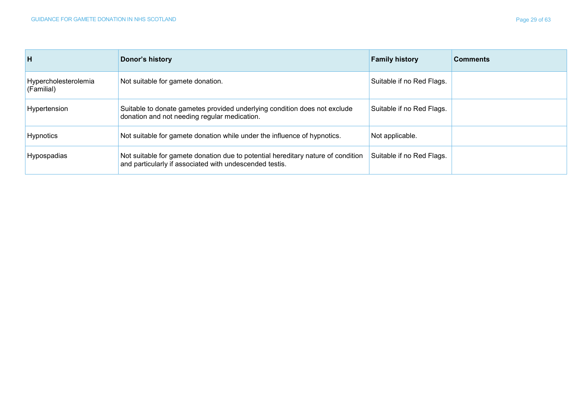| H                                  | Donor's history                                                                                                                             | <b>Family history</b>     | <b>Comments</b> |
|------------------------------------|---------------------------------------------------------------------------------------------------------------------------------------------|---------------------------|-----------------|
| Hypercholesterolemia<br>(Familial) | Not suitable for gamete donation.                                                                                                           | Suitable if no Red Flags. |                 |
| Hypertension                       | Suitable to donate gametes provided underlying condition does not exclude<br>donation and not needing regular medication.                   | Suitable if no Red Flags. |                 |
| Hypnotics                          | Not suitable for gamete donation while under the influence of hypnotics.                                                                    | Not applicable.           |                 |
| Hypospadias                        | Not suitable for gamete donation due to potential hereditary nature of condition<br>and particularly if associated with undescended testis. | Suitable if no Red Flags. |                 |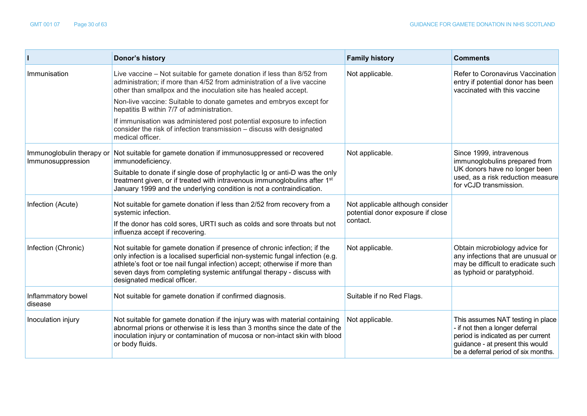|                                                | <b>Donor's history</b>                                                                                                                                                                                                                                                                                                                            | <b>Family history</b>                                                             | <b>Comments</b>                                                                                                                                                                       |
|------------------------------------------------|---------------------------------------------------------------------------------------------------------------------------------------------------------------------------------------------------------------------------------------------------------------------------------------------------------------------------------------------------|-----------------------------------------------------------------------------------|---------------------------------------------------------------------------------------------------------------------------------------------------------------------------------------|
| Immunisation                                   | Live vaccine - Not suitable for gamete donation if less than 8/52 from<br>administration; if more than 4/52 from administration of a live vaccine<br>other than smallpox and the inoculation site has healed accept.                                                                                                                              | Not applicable.                                                                   | Refer to Coronavirus Vaccination<br>entry if potential donor has been<br>vaccinated with this vaccine                                                                                 |
|                                                | Non-live vaccine: Suitable to donate gametes and embryos except for<br>hepatitis B within 7/7 of administration.                                                                                                                                                                                                                                  |                                                                                   |                                                                                                                                                                                       |
|                                                | If immunisation was administered post potential exposure to infection<br>consider the risk of infection transmission - discuss with designated<br>medical officer.                                                                                                                                                                                |                                                                                   |                                                                                                                                                                                       |
| Immunoglobulin therapy or<br>Immunosuppression | Not suitable for gamete donation if immunosuppressed or recovered<br>immunodeficiency.                                                                                                                                                                                                                                                            | Not applicable.                                                                   | Since 1999, intravenous<br>immunoglobulins prepared from                                                                                                                              |
|                                                | Suitable to donate if single dose of prophylactic Ig or anti-D was the only<br>treatment given, or if treated with intravenous immunoglobulins after 1st<br>January 1999 and the underlying condition is not a contraindication.                                                                                                                  |                                                                                   | UK donors have no longer been<br>used, as a risk reduction measure<br>for vCJD transmission.                                                                                          |
| Infection (Acute)                              | Not suitable for gamete donation if less than 2/52 from recovery from a<br>systemic infection.                                                                                                                                                                                                                                                    | Not applicable although consider<br>potential donor exposure if close<br>contact. |                                                                                                                                                                                       |
|                                                | If the donor has cold sores, URTI such as colds and sore throats but not<br>influenza accept if recovering.                                                                                                                                                                                                                                       |                                                                                   |                                                                                                                                                                                       |
| Infection (Chronic)                            | Not suitable for gamete donation if presence of chronic infection; if the<br>only infection is a localised superficial non-systemic fungal infection (e.g.<br>athlete's foot or toe nail fungal infection) accept; otherwise if more than<br>seven days from completing systemic antifungal therapy - discuss with<br>designated medical officer. | Not applicable.                                                                   | Obtain microbiology advice for<br>any infections that are unusual or<br>may be difficult to eradicate such<br>as typhoid or paratyphoid.                                              |
| Inflammatory bowel<br>disease                  | Not suitable for gamete donation if confirmed diagnosis.                                                                                                                                                                                                                                                                                          | Suitable if no Red Flags.                                                         |                                                                                                                                                                                       |
| Inoculation injury                             | Not suitable for gamete donation if the injury was with material containing<br>abnormal prions or otherwise it is less than 3 months since the date of the<br>inoculation injury or contamination of mucosa or non-intact skin with blood<br>or body fluids.                                                                                      | Not applicable.                                                                   | This assumes NAT testing in place<br>- if not then a longer deferral<br>period is indicated as per current<br>guidance - at present this would<br>be a deferral period of six months. |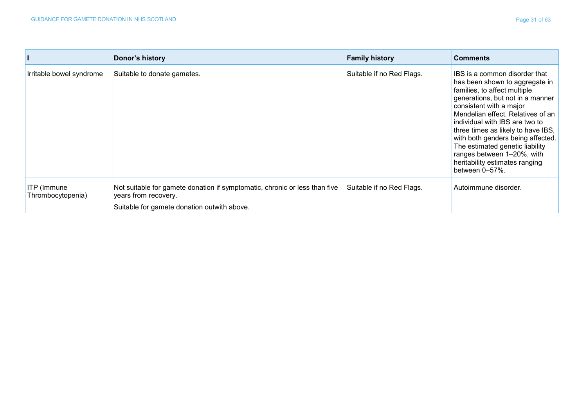|                                  | Donor's history                                                                                                                                   | <b>Family history</b>     | <b>Comments</b>                                                                                                                                                                                                                                                                                                                                                                                                                       |
|----------------------------------|---------------------------------------------------------------------------------------------------------------------------------------------------|---------------------------|---------------------------------------------------------------------------------------------------------------------------------------------------------------------------------------------------------------------------------------------------------------------------------------------------------------------------------------------------------------------------------------------------------------------------------------|
| Irritable bowel syndrome         | Suitable to donate gametes.                                                                                                                       | Suitable if no Red Flags. | IBS is a common disorder that<br>has been shown to aggregate in<br>families, to affect multiple<br>generations, but not in a manner<br>consistent with a major<br>Mendelian effect. Relatives of an<br>individual with IBS are two to<br>three times as likely to have IBS,<br>with both genders being affected.<br>The estimated genetic liability<br>ranges between 1-20%, with<br>heritability estimates ranging<br>between 0-57%. |
| ITP (Immune<br>Thrombocytopenia) | Not suitable for gamete donation if symptomatic, chronic or less than five<br>years from recovery.<br>Suitable for gamete donation outwith above. | Suitable if no Red Flags. | Autoimmune disorder.                                                                                                                                                                                                                                                                                                                                                                                                                  |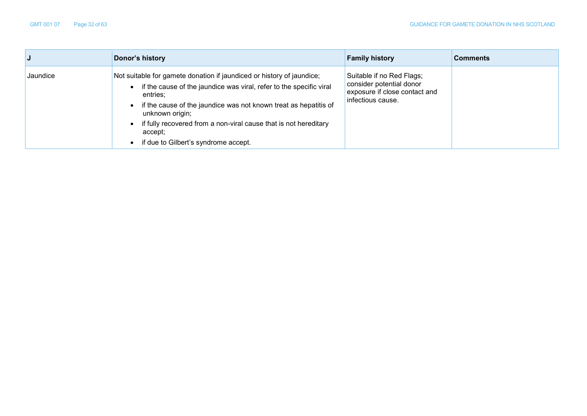|          | Donor's history                                                                                                                                                                                                                                                                                                                                                          | <b>Family history</b>                                                                                       | <b>Comments</b> |
|----------|--------------------------------------------------------------------------------------------------------------------------------------------------------------------------------------------------------------------------------------------------------------------------------------------------------------------------------------------------------------------------|-------------------------------------------------------------------------------------------------------------|-----------------|
| Jaundice | Not suitable for gamete donation if jaundiced or history of jaundice;<br>if the cause of the jaundice was viral, refer to the specific viral<br>entries:<br>if the cause of the jaundice was not known treat as hepatitis of<br>unknown origin;<br>• if fully recovered from a non-viral cause that is not hereditary<br>accept:<br>if due to Gilbert's syndrome accept. | Suitable if no Red Flags;<br>consider potential donor<br>exposure if close contact and<br>infectious cause. |                 |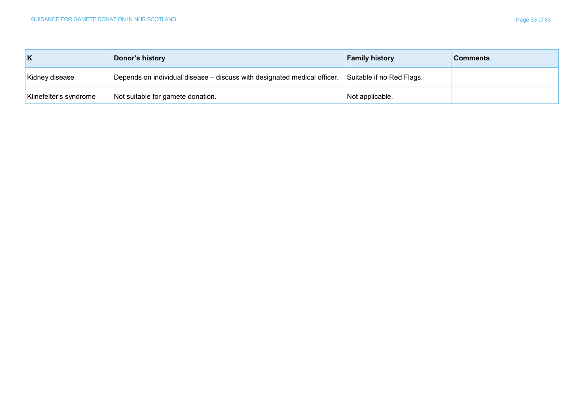| Κ                      | Donor's history                                                          | <b>Family history</b>     | <b>Comments</b> |
|------------------------|--------------------------------------------------------------------------|---------------------------|-----------------|
| Kidney disease         | Depends on individual disease – discuss with designated medical officer. | Suitable if no Red Flags. |                 |
| Klinefelter's syndrome | Not suitable for gamete donation.                                        | Not applicable.           |                 |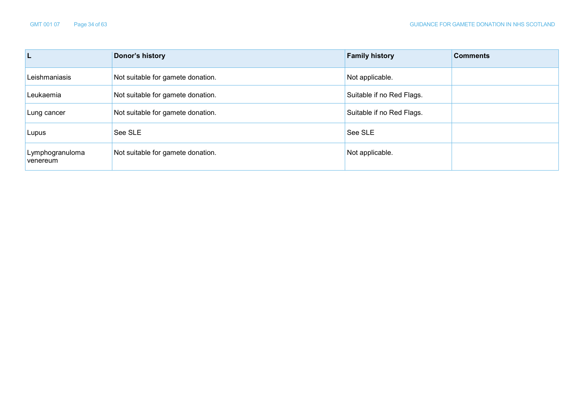| L                           | Donor's history                   | <b>Family history</b>     | <b>Comments</b> |
|-----------------------------|-----------------------------------|---------------------------|-----------------|
| Leishmaniasis               | Not suitable for gamete donation. | Not applicable.           |                 |
| Leukaemia                   | Not suitable for gamete donation. | Suitable if no Red Flags. |                 |
| Lung cancer                 | Not suitable for gamete donation. | Suitable if no Red Flags. |                 |
| Lupus                       | See SLE                           | See SLE                   |                 |
| Lymphogranuloma<br>venereum | Not suitable for gamete donation. | Not applicable.           |                 |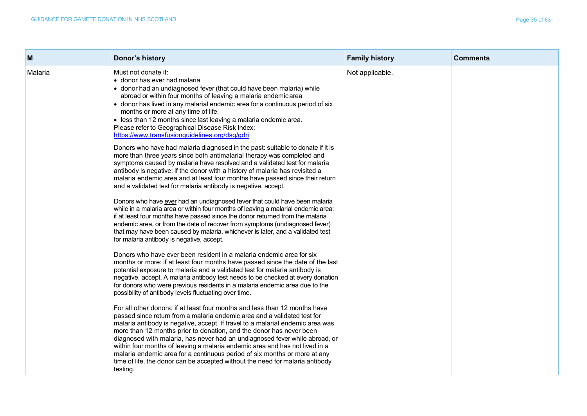| м       | Donor's history                                                                                                                                                                                                                                                                                                                                                                                                                                                                                                                                                                                                                                         | <b>Family history</b> | <b>Comments</b> |
|---------|---------------------------------------------------------------------------------------------------------------------------------------------------------------------------------------------------------------------------------------------------------------------------------------------------------------------------------------------------------------------------------------------------------------------------------------------------------------------------------------------------------------------------------------------------------------------------------------------------------------------------------------------------------|-----------------------|-----------------|
| Malaria | Must not donate if:<br>• donor has ever had malaria<br>• donor had an undiagnosed fever (that could have been malaria) while<br>abroad or within four months of leaving a malaria endemicarea<br>• donor has lived in any malarial endemic area for a continuous period of six<br>months or more at any time of life.<br>• less than 12 months since last leaving a malaria endemic area.<br>Please refer to Geographical Disease Risk Index:<br>https://www.transfusionguidelines.org/dsg/gdri                                                                                                                                                         | Not applicable.       |                 |
|         | Donors who have had malaria diagnosed in the past: suitable to donate if it is<br>more than three years since both antimalarial therapy was completed and<br>symptoms caused by malaria have resolved and a validated test for malaria<br>antibody is negative; if the donor with a history of malaria has revisited a<br>malaria endemic area and at least four months have passed since their return<br>and a validated test for malaria antibody is negative, accept.                                                                                                                                                                                |                       |                 |
|         | Donors who have ever had an undiagnosed fever that could have been malaria<br>while in a malaria area or within four months of leaving a malarial endemic area:<br>if at least four months have passed since the donor returned from the malaria<br>endemic area, or from the date of recover from symptoms (undiagnosed fever)<br>that may have been caused by malaria, whichever is later, and a validated test<br>for malaria antibody is negative, accept.                                                                                                                                                                                          |                       |                 |
|         | Donors who have ever been resident in a malaria endemic area for six<br>months or more: if at least four months have passed since the date of the last<br>potential exposure to malaria and a validated test for malaria antibody is<br>negative, accept. A malaria antibody test needs to be checked at every donation<br>for donors who were previous residents in a malaria endemic area due to the<br>possibility of antibody levels fluctuating over time.                                                                                                                                                                                         |                       |                 |
|         | For all other donors: if at least four months and less than 12 months have<br>passed since return from a malaria endemic area and a validated test for<br>malaria antibody is negative, accept. If travel to a malarial endemic area was<br>more than 12 months prior to donation, and the donor has never been<br>diagnosed with malaria, has never had an undiagnosed fever while abroad, or<br>within four months of leaving a malaria endemic area and has not lived in a<br>malaria endemic area for a continuous period of six months or more at any<br>time of life, the donor can be accepted without the need for malaria antibody<br>testing. |                       |                 |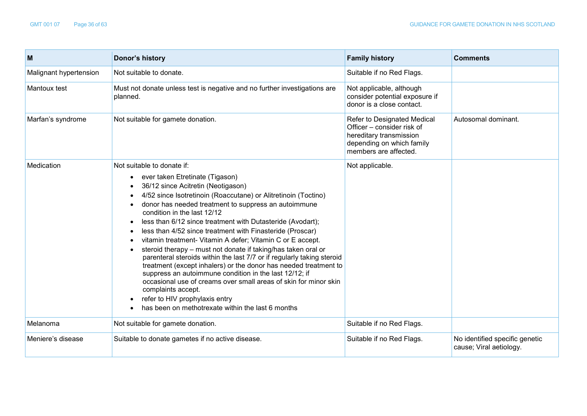| M                      | Donor's history                                                                                                                                                                                                                                                                                                                                                                                                                                                                                                                                                                                                                                                                                                                                                                                                                                                                                                                           | <b>Family history</b>                                                                                                                      | <b>Comments</b>                                           |
|------------------------|-------------------------------------------------------------------------------------------------------------------------------------------------------------------------------------------------------------------------------------------------------------------------------------------------------------------------------------------------------------------------------------------------------------------------------------------------------------------------------------------------------------------------------------------------------------------------------------------------------------------------------------------------------------------------------------------------------------------------------------------------------------------------------------------------------------------------------------------------------------------------------------------------------------------------------------------|--------------------------------------------------------------------------------------------------------------------------------------------|-----------------------------------------------------------|
| Malignant hypertension | Not suitable to donate.                                                                                                                                                                                                                                                                                                                                                                                                                                                                                                                                                                                                                                                                                                                                                                                                                                                                                                                   | Suitable if no Red Flags.                                                                                                                  |                                                           |
| Mantoux test           | Must not donate unless test is negative and no further investigations are<br>planned.                                                                                                                                                                                                                                                                                                                                                                                                                                                                                                                                                                                                                                                                                                                                                                                                                                                     | Not applicable, although<br>consider potential exposure if<br>donor is a close contact.                                                    |                                                           |
| Marfan's syndrome      | Not suitable for gamete donation.                                                                                                                                                                                                                                                                                                                                                                                                                                                                                                                                                                                                                                                                                                                                                                                                                                                                                                         | Refer to Designated Medical<br>Officer - consider risk of<br>hereditary transmission<br>depending on which family<br>members are affected. | Autosomal dominant.                                       |
| Medication             | Not suitable to donate if:<br>ever taken Etretinate (Tigason)<br>$\bullet$<br>36/12 since Acitretin (Neotigason)<br>4/52 since Isotretinoin (Roaccutane) or Alitretinoin (Toctino)<br>donor has needed treatment to suppress an autoimmune<br>condition in the last 12/12<br>less than 6/12 since treatment with Dutasteride (Avodart);<br>$\bullet$<br>less than 4/52 since treatment with Finasteride (Proscar)<br>vitamin treatment- Vitamin A defer; Vitamin C or E accept.<br>steroid therapy – must not donate if taking/has taken oral or<br>parenteral steroids within the last 7/7 or if regularly taking steroid<br>treatment (except inhalers) or the donor has needed treatment to<br>suppress an autoimmune condition in the last 12/12; if<br>occasional use of creams over small areas of skin for minor skin<br>complaints accept.<br>refer to HIV prophylaxis entry<br>has been on methotrexate within the last 6 months | Not applicable.                                                                                                                            |                                                           |
| Melanoma               | Not suitable for gamete donation.                                                                                                                                                                                                                                                                                                                                                                                                                                                                                                                                                                                                                                                                                                                                                                                                                                                                                                         | Suitable if no Red Flags.                                                                                                                  |                                                           |
| Meniere's disease      | Suitable to donate gametes if no active disease.                                                                                                                                                                                                                                                                                                                                                                                                                                                                                                                                                                                                                                                                                                                                                                                                                                                                                          | Suitable if no Red Flags.                                                                                                                  | No identified specific genetic<br>cause; Viral aetiology. |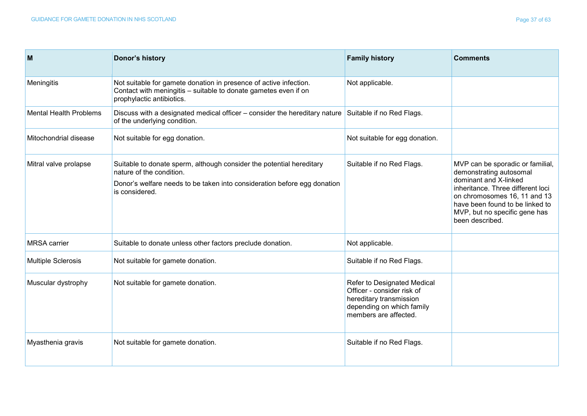| M                             | Donor's history                                                                                                                                                                                | <b>Family history</b>                                                                                                                      | <b>Comments</b>                                                                                                                                                                                                                                  |
|-------------------------------|------------------------------------------------------------------------------------------------------------------------------------------------------------------------------------------------|--------------------------------------------------------------------------------------------------------------------------------------------|--------------------------------------------------------------------------------------------------------------------------------------------------------------------------------------------------------------------------------------------------|
| Meningitis                    | Not suitable for gamete donation in presence of active infection.<br>Contact with meningitis - suitable to donate gametes even if on<br>prophylactic antibiotics.                              | Not applicable.                                                                                                                            |                                                                                                                                                                                                                                                  |
| <b>Mental Health Problems</b> | Discuss with a designated medical officer – consider the hereditary nature<br>of the underlying condition.                                                                                     | Suitable if no Red Flags.                                                                                                                  |                                                                                                                                                                                                                                                  |
| Mitochondrial disease         | Not suitable for egg donation.                                                                                                                                                                 | Not suitable for egg donation.                                                                                                             |                                                                                                                                                                                                                                                  |
| Mitral valve prolapse         | Suitable to donate sperm, although consider the potential hereditary<br>nature of the condition.<br>Donor's welfare needs to be taken into consideration before egg donation<br>is considered. | Suitable if no Red Flags.                                                                                                                  | MVP can be sporadic or familial,<br>demonstrating autosomal<br>dominant and X-linked<br>inheritance. Three different loci<br>on chromosomes 16, 11 and 13<br>have been found to be linked to<br>MVP, but no specific gene has<br>been described. |
| <b>MRSA</b> carrier           | Suitable to donate unless other factors preclude donation.                                                                                                                                     | Not applicable.                                                                                                                            |                                                                                                                                                                                                                                                  |
| <b>Multiple Sclerosis</b>     | Not suitable for gamete donation.                                                                                                                                                              | Suitable if no Red Flags.                                                                                                                  |                                                                                                                                                                                                                                                  |
| Muscular dystrophy            | Not suitable for gamete donation.                                                                                                                                                              | Refer to Designated Medical<br>Officer - consider risk of<br>hereditary transmission<br>depending on which family<br>members are affected. |                                                                                                                                                                                                                                                  |
| Myasthenia gravis             | Not suitable for gamete donation.                                                                                                                                                              | Suitable if no Red Flags.                                                                                                                  |                                                                                                                                                                                                                                                  |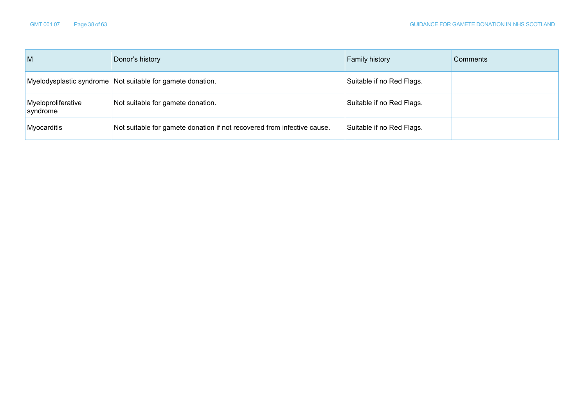| M                              | Donor's history                                                         | <b>Family history</b>     | Comments |
|--------------------------------|-------------------------------------------------------------------------|---------------------------|----------|
|                                | Myelodysplastic syndrome Not suitable for gamete donation.              | Suitable if no Red Flags. |          |
| Myeloproliferative<br>syndrome | Not suitable for gamete donation.                                       | Suitable if no Red Flags. |          |
| Myocarditis                    | Not suitable for gamete donation if not recovered from infective cause. | Suitable if no Red Flags. |          |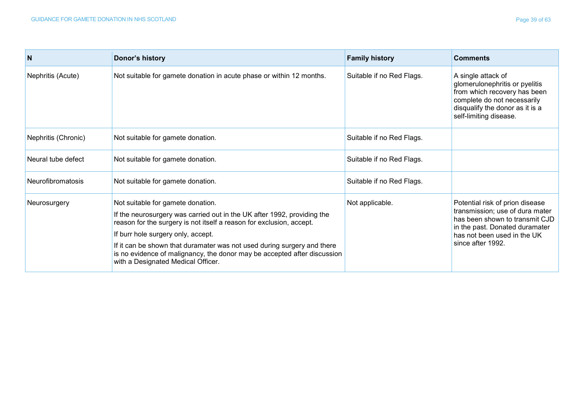| N                        | Donor's history                                                                                                                                                                                                                                                                                                                                                                                                         | <b>Family history</b>     | <b>Comments</b>                                                                                                                                                                            |
|--------------------------|-------------------------------------------------------------------------------------------------------------------------------------------------------------------------------------------------------------------------------------------------------------------------------------------------------------------------------------------------------------------------------------------------------------------------|---------------------------|--------------------------------------------------------------------------------------------------------------------------------------------------------------------------------------------|
| Nephritis (Acute)        | Not suitable for gamete donation in acute phase or within 12 months.                                                                                                                                                                                                                                                                                                                                                    | Suitable if no Red Flags. | A single attack of<br>glomerulonephritis or pyelitis<br>from which recovery has been<br>complete do not necessarily<br>disqualify the donor as it is a<br>self-limiting disease.           |
| Nephritis (Chronic)      | Not suitable for gamete donation.                                                                                                                                                                                                                                                                                                                                                                                       | Suitable if no Red Flags. |                                                                                                                                                                                            |
| Neural tube defect       | Not suitable for gamete donation.                                                                                                                                                                                                                                                                                                                                                                                       | Suitable if no Red Flags. |                                                                                                                                                                                            |
| <b>Neurofibromatosis</b> | Not suitable for gamete donation.                                                                                                                                                                                                                                                                                                                                                                                       | Suitable if no Red Flags. |                                                                                                                                                                                            |
| Neurosurgery             | Not suitable for gamete donation.<br>If the neurosurgery was carried out in the UK after 1992, providing the<br>reason for the surgery is not itself a reason for exclusion, accept.<br>If burr hole surgery only, accept.<br>If it can be shown that duramater was not used during surgery and there<br>is no evidence of malignancy, the donor may be accepted after discussion<br>with a Designated Medical Officer. | Not applicable.           | Potential risk of prion disease<br>transmission; use of dura mater<br>has been shown to transmit CJD<br>in the past. Donated duramater<br>has not been used in the UK<br>since after 1992. |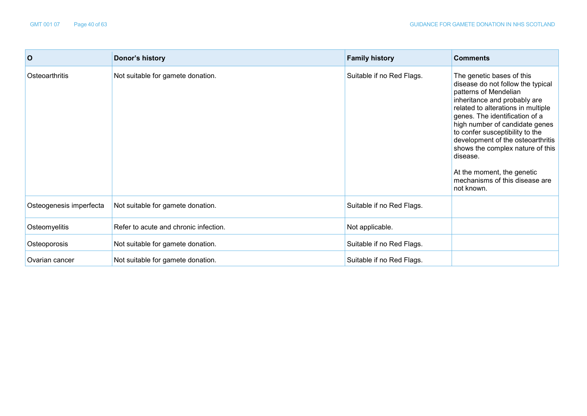| $\mathbf{o}$            | Donor's history                       | <b>Family history</b>     | <b>Comments</b>                                                                                                                                                                                                                                                                                                                                                                                                                         |
|-------------------------|---------------------------------------|---------------------------|-----------------------------------------------------------------------------------------------------------------------------------------------------------------------------------------------------------------------------------------------------------------------------------------------------------------------------------------------------------------------------------------------------------------------------------------|
| Osteoarthritis          | Not suitable for gamete donation.     | Suitable if no Red Flags. | The genetic bases of this<br>disease do not follow the typical<br>patterns of Mendelian<br>inheritance and probably are<br>related to alterations in multiple<br>genes. The identification of a<br>high number of candidate genes<br>to confer susceptibility to the<br>development of the osteoarthritis<br>shows the complex nature of this<br>disease.<br>At the moment, the genetic<br>mechanisms of this disease are<br>not known. |
| Osteogenesis imperfecta | Not suitable for gamete donation.     | Suitable if no Red Flags. |                                                                                                                                                                                                                                                                                                                                                                                                                                         |
| Osteomyelitis           | Refer to acute and chronic infection. | Not applicable.           |                                                                                                                                                                                                                                                                                                                                                                                                                                         |
| Osteoporosis            | Not suitable for gamete donation.     | Suitable if no Red Flags. |                                                                                                                                                                                                                                                                                                                                                                                                                                         |
| Ovarian cancer          | Not suitable for gamete donation.     | Suitable if no Red Flags. |                                                                                                                                                                                                                                                                                                                                                                                                                                         |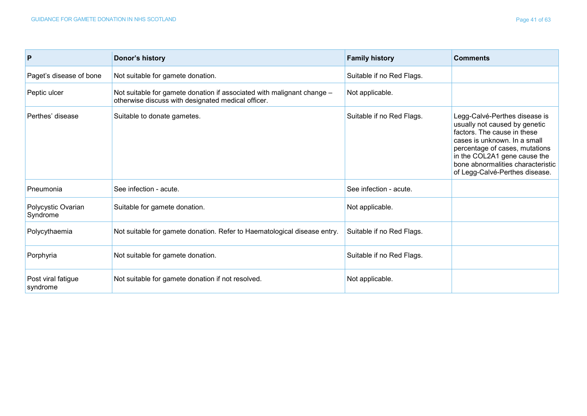| $\mathsf{P}$                   | Donor's history                                                                                                              | <b>Family history</b>     | <b>Comments</b>                                                                                                                                                                                                                                                        |
|--------------------------------|------------------------------------------------------------------------------------------------------------------------------|---------------------------|------------------------------------------------------------------------------------------------------------------------------------------------------------------------------------------------------------------------------------------------------------------------|
| Paget's disease of bone        | Not suitable for gamete donation.                                                                                            | Suitable if no Red Flags. |                                                                                                                                                                                                                                                                        |
| Peptic ulcer                   | Not suitable for gamete donation if associated with malignant change -<br>otherwise discuss with designated medical officer. | Not applicable.           |                                                                                                                                                                                                                                                                        |
| Perthes' disease               | Suitable to donate gametes.                                                                                                  | Suitable if no Red Flags. | Legg-Calvé-Perthes disease is<br>usually not caused by genetic<br>factors. The cause in these<br>cases is unknown. In a small<br>percentage of cases, mutations<br>in the COL2A1 gene cause the<br>bone abnormalities characteristic<br>of Legg-Calvé-Perthes disease. |
| Pneumonia                      | See infection - acute.                                                                                                       | See infection - acute.    |                                                                                                                                                                                                                                                                        |
| Polycystic Ovarian<br>Syndrome | Suitable for gamete donation.                                                                                                | Not applicable.           |                                                                                                                                                                                                                                                                        |
| Polycythaemia                  | Not suitable for gamete donation. Refer to Haematological disease entry.                                                     | Suitable if no Red Flags. |                                                                                                                                                                                                                                                                        |
| Porphyria                      | Not suitable for gamete donation.                                                                                            | Suitable if no Red Flags. |                                                                                                                                                                                                                                                                        |
| Post viral fatigue<br>syndrome | Not suitable for gamete donation if not resolved.                                                                            | Not applicable.           |                                                                                                                                                                                                                                                                        |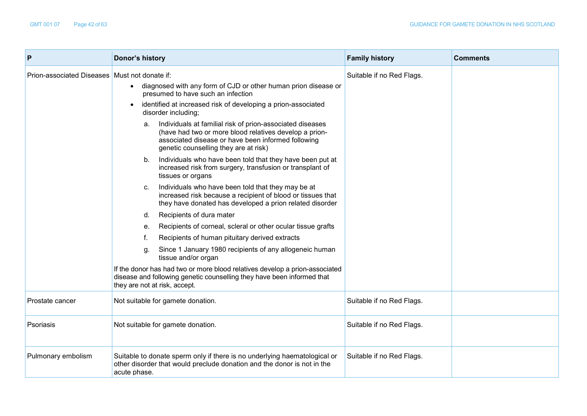| P                                             | Donor's history                                                                                                                                                                                                                                                                                                                                                                                                                                                                                                                                                                                                                                                                                                                                                                                                                                                                                                                                                                                                                                                                                                                                                                                                               | <b>Family history</b>     | <b>Comments</b> |
|-----------------------------------------------|-------------------------------------------------------------------------------------------------------------------------------------------------------------------------------------------------------------------------------------------------------------------------------------------------------------------------------------------------------------------------------------------------------------------------------------------------------------------------------------------------------------------------------------------------------------------------------------------------------------------------------------------------------------------------------------------------------------------------------------------------------------------------------------------------------------------------------------------------------------------------------------------------------------------------------------------------------------------------------------------------------------------------------------------------------------------------------------------------------------------------------------------------------------------------------------------------------------------------------|---------------------------|-----------------|
| Prion-associated Diseases Must not donate if: | diagnosed with any form of CJD or other human prion disease or<br>$\bullet$<br>presumed to have such an infection<br>identified at increased risk of developing a prion-associated<br>disorder including;<br>Individuals at familial risk of prion-associated diseases<br>а.<br>(have had two or more blood relatives develop a prion-<br>associated disease or have been informed following<br>genetic counselling they are at risk)<br>Individuals who have been told that they have been put at<br>b.<br>increased risk from surgery, transfusion or transplant of<br>tissues or organs<br>Individuals who have been told that they may be at<br>C.<br>increased risk because a recipient of blood or tissues that<br>they have donated has developed a prion related disorder<br>Recipients of dura mater<br>d.<br>Recipients of corneal, scleral or other ocular tissue grafts<br>е.<br>Recipients of human pituitary derived extracts<br>Since 1 January 1980 recipients of any allogeneic human<br>g.<br>tissue and/or organ<br>If the donor has had two or more blood relatives develop a prion-associated<br>disease and following genetic counselling they have been informed that<br>they are not at risk, accept. | Suitable if no Red Flags. |                 |
| Prostate cancer                               | Not suitable for gamete donation.                                                                                                                                                                                                                                                                                                                                                                                                                                                                                                                                                                                                                                                                                                                                                                                                                                                                                                                                                                                                                                                                                                                                                                                             | Suitable if no Red Flags. |                 |
| Psoriasis                                     | Not suitable for gamete donation.                                                                                                                                                                                                                                                                                                                                                                                                                                                                                                                                                                                                                                                                                                                                                                                                                                                                                                                                                                                                                                                                                                                                                                                             | Suitable if no Red Flags. |                 |
| Pulmonary embolism                            | Suitable to donate sperm only if there is no underlying haematological or<br>other disorder that would preclude donation and the donor is not in the<br>acute phase.                                                                                                                                                                                                                                                                                                                                                                                                                                                                                                                                                                                                                                                                                                                                                                                                                                                                                                                                                                                                                                                          | Suitable if no Red Flags. |                 |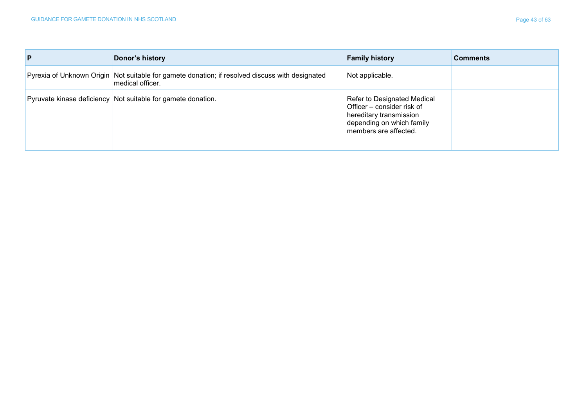| P | Donor's history                                                                                                       | <b>Family history</b>                                                                                                                      | <b>Comments</b> |
|---|-----------------------------------------------------------------------------------------------------------------------|--------------------------------------------------------------------------------------------------------------------------------------------|-----------------|
|   | Pyrexia of Unknown Origin   Not suitable for gamete donation; if resolved discuss with designated<br>medical officer. | Not applicable.                                                                                                                            |                 |
|   | Pyruvate kinase deficiency Not suitable for gamete donation.                                                          | Refer to Designated Medical<br>Officer – consider risk of<br>hereditary transmission<br>depending on which family<br>members are affected. |                 |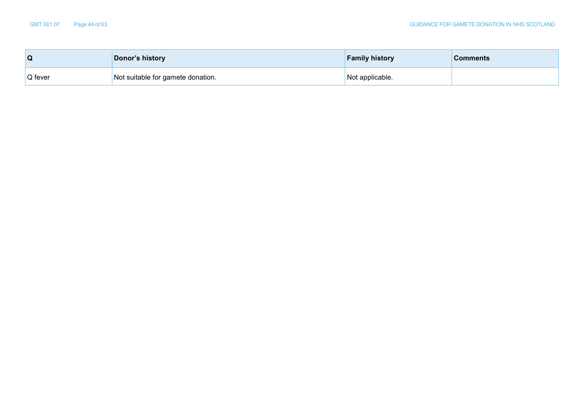| Q       | Donor's history                   | <b>Family history</b> | <b>Comments</b> |
|---------|-----------------------------------|-----------------------|-----------------|
| Q fever | Not suitable for gamete donation. | Not applicable.       |                 |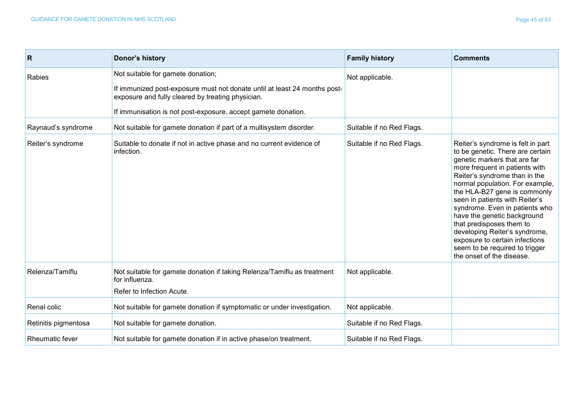| R                      | Donor's history                                                                                                                                                                                                                      | <b>Family history</b>     | <b>Comments</b>                                                                                                                                                                                                                                                                                                                                                                                                                                                                                              |
|------------------------|--------------------------------------------------------------------------------------------------------------------------------------------------------------------------------------------------------------------------------------|---------------------------|--------------------------------------------------------------------------------------------------------------------------------------------------------------------------------------------------------------------------------------------------------------------------------------------------------------------------------------------------------------------------------------------------------------------------------------------------------------------------------------------------------------|
| Rabies                 | Not suitable for gamete donation;<br>If immunized post-exposure must not donate until at least 24 months post-<br>exposure and fully cleared by treating physician.<br>If immunisation is not post-exposure, accept gamete donation. | Not applicable.           |                                                                                                                                                                                                                                                                                                                                                                                                                                                                                                              |
| Raynaud's syndrome     | Not suitable for gamete donation if part of a multisystem disorder.                                                                                                                                                                  | Suitable if no Red Flags. |                                                                                                                                                                                                                                                                                                                                                                                                                                                                                                              |
| Reiter's syndrome      | Suitable to donate if not in active phase and no current evidence of<br>infection.                                                                                                                                                   | Suitable if no Red Flags. | Reiter's syndrome is felt in part<br>to be genetic. There are certain<br>genetic markers that are far<br>more frequent in patients with<br>Reiter's syndrome than in the<br>normal population. For example,<br>the HLA-B27 gene is commonly<br>seen in patients with Reiter's<br>syndrome. Even in patients who<br>have the genetic background<br>that predisposes them to<br>developing Reiter's syndrome,<br>exposure to certain infections<br>seem to be required to trigger<br>the onset of the disease. |
| Relenza/Tamiflu        | Not suitable for gamete donation if taking Relenza/Tamiflu as treatment<br>for influenza.                                                                                                                                            | Not applicable.           |                                                                                                                                                                                                                                                                                                                                                                                                                                                                                                              |
|                        | Refer to Infection Acute.                                                                                                                                                                                                            |                           |                                                                                                                                                                                                                                                                                                                                                                                                                                                                                                              |
| Renal colic            | Not suitable for gamete donation if symptomatic or under investigation.                                                                                                                                                              | Not applicable.           |                                                                                                                                                                                                                                                                                                                                                                                                                                                                                                              |
| Retinitis pigmentosa   | Not suitable for gamete donation.                                                                                                                                                                                                    | Suitable if no Red Flags. |                                                                                                                                                                                                                                                                                                                                                                                                                                                                                                              |
| <b>Rheumatic fever</b> | Not suitable for gamete donation if in active phase/on treatment.                                                                                                                                                                    | Suitable if no Red Flags. |                                                                                                                                                                                                                                                                                                                                                                                                                                                                                                              |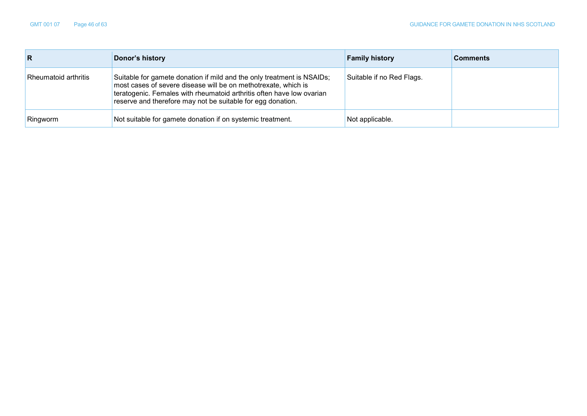| R                    | Donor's history                                                                                                                                                                                                                                                                  | <b>Family history</b>     | <b>Comments</b> |
|----------------------|----------------------------------------------------------------------------------------------------------------------------------------------------------------------------------------------------------------------------------------------------------------------------------|---------------------------|-----------------|
| Rheumatoid arthritis | Suitable for gamete donation if mild and the only treatment is NSAIDs;<br>most cases of severe disease will be on methotrexate, which is<br>teratogenic. Females with rheumatoid arthritis often have low ovarian<br>reserve and therefore may not be suitable for egg donation. | Suitable if no Red Flags. |                 |
| Ringworm             | Not suitable for gamete donation if on systemic treatment.                                                                                                                                                                                                                       | Not applicable.           |                 |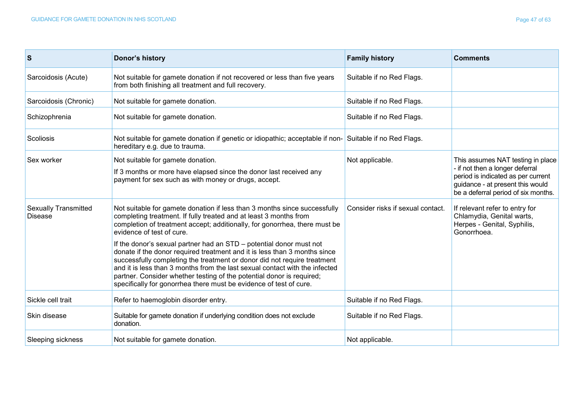| <b>S</b>                                      | Donor's history                                                                                                                                                                                                                                                                                                                                                                                                                                                                                                                                                                                                                                   | <b>Family history</b>             | <b>Comments</b>                                                                                                                                                                       |
|-----------------------------------------------|---------------------------------------------------------------------------------------------------------------------------------------------------------------------------------------------------------------------------------------------------------------------------------------------------------------------------------------------------------------------------------------------------------------------------------------------------------------------------------------------------------------------------------------------------------------------------------------------------------------------------------------------------|-----------------------------------|---------------------------------------------------------------------------------------------------------------------------------------------------------------------------------------|
| Sarcoidosis (Acute)                           | Not suitable for gamete donation if not recovered or less than five years<br>from both finishing all treatment and full recovery.                                                                                                                                                                                                                                                                                                                                                                                                                                                                                                                 | Suitable if no Red Flags.         |                                                                                                                                                                                       |
| Sarcoidosis (Chronic)                         | Not suitable for gamete donation.                                                                                                                                                                                                                                                                                                                                                                                                                                                                                                                                                                                                                 | Suitable if no Red Flags.         |                                                                                                                                                                                       |
| Schizophrenia                                 | Not suitable for gamete donation.                                                                                                                                                                                                                                                                                                                                                                                                                                                                                                                                                                                                                 | Suitable if no Red Flags.         |                                                                                                                                                                                       |
| Scoliosis                                     | Not suitable for gamete donation if genetic or idiopathic; acceptable if non- Suitable if no Red Flags.<br>hereditary e.g. due to trauma.                                                                                                                                                                                                                                                                                                                                                                                                                                                                                                         |                                   |                                                                                                                                                                                       |
| Sex worker                                    | Not suitable for gamete donation.<br>If 3 months or more have elapsed since the donor last received any<br>payment for sex such as with money or drugs, accept.                                                                                                                                                                                                                                                                                                                                                                                                                                                                                   | Not applicable.                   | This assumes NAT testing in place<br>- if not then a longer deferral<br>period is indicated as per current<br>guidance - at present this would<br>be a deferral period of six months. |
| <b>Sexually Transmitted</b><br><b>Disease</b> | Not suitable for gamete donation if less than 3 months since successfully<br>completing treatment. If fully treated and at least 3 months from<br>completion of treatment accept; additionally, for gonorrhea, there must be<br>evidence of test of cure.<br>If the donor's sexual partner had an STD – potential donor must not<br>donate if the donor required treatment and it is less than 3 months since<br>successfully completing the treatment or donor did not require treatment<br>and it is less than 3 months from the last sexual contact with the infected<br>partner. Consider whether testing of the potential donor is required; | Consider risks if sexual contact. | If relevant refer to entry for<br>Chlamydia, Genital warts,<br>Herpes - Genital, Syphilis,<br>Gonorrhoea.                                                                             |
| Sickle cell trait                             | specifically for gonorrhea there must be evidence of test of cure.<br>Refer to haemoglobin disorder entry.                                                                                                                                                                                                                                                                                                                                                                                                                                                                                                                                        | Suitable if no Red Flags.         |                                                                                                                                                                                       |
| Skin disease                                  | Suitable for gamete donation if underlying condition does not exclude<br>donation.                                                                                                                                                                                                                                                                                                                                                                                                                                                                                                                                                                | Suitable if no Red Flags.         |                                                                                                                                                                                       |
| Sleeping sickness                             | Not suitable for gamete donation.                                                                                                                                                                                                                                                                                                                                                                                                                                                                                                                                                                                                                 | Not applicable.                   |                                                                                                                                                                                       |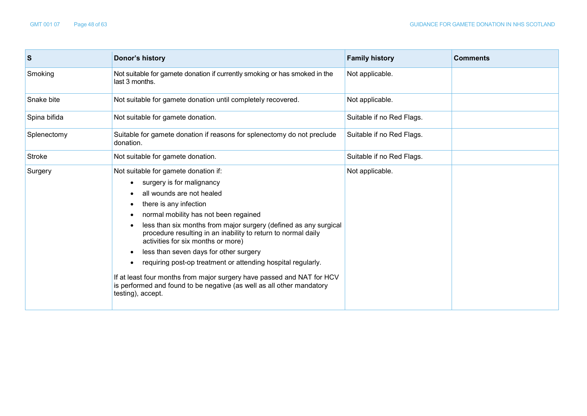$\mathbf{r}$ 

| S            | Donor's history                                                                                                                                                                                                                                                                                                                                                                                                                                                                                                                                                                                                                | <b>Family history</b>     | <b>Comments</b> |
|--------------|--------------------------------------------------------------------------------------------------------------------------------------------------------------------------------------------------------------------------------------------------------------------------------------------------------------------------------------------------------------------------------------------------------------------------------------------------------------------------------------------------------------------------------------------------------------------------------------------------------------------------------|---------------------------|-----------------|
| Smoking      | Not suitable for gamete donation if currently smoking or has smoked in the<br>last 3 months.                                                                                                                                                                                                                                                                                                                                                                                                                                                                                                                                   | Not applicable.           |                 |
| Snake bite   | Not suitable for gamete donation until completely recovered.                                                                                                                                                                                                                                                                                                                                                                                                                                                                                                                                                                   | Not applicable.           |                 |
| Spina bifida | Not suitable for gamete donation.                                                                                                                                                                                                                                                                                                                                                                                                                                                                                                                                                                                              | Suitable if no Red Flags. |                 |
| Splenectomy  | Suitable for gamete donation if reasons for splenectomy do not preclude<br>donation.                                                                                                                                                                                                                                                                                                                                                                                                                                                                                                                                           | Suitable if no Red Flags. |                 |
| Stroke       | Not suitable for gamete donation.                                                                                                                                                                                                                                                                                                                                                                                                                                                                                                                                                                                              | Suitable if no Red Flags. |                 |
| Surgery      | Not suitable for gamete donation if:<br>surgery is for malignancy<br>all wounds are not healed<br>there is any infection<br>normal mobility has not been regained<br>less than six months from major surgery (defined as any surgical<br>procedure resulting in an inability to return to normal daily<br>activities for six months or more)<br>less than seven days for other surgery<br>requiring post-op treatment or attending hospital regularly.<br>If at least four months from major surgery have passed and NAT for HCV<br>is performed and found to be negative (as well as all other mandatory<br>testing), accept. | Not applicable.           |                 |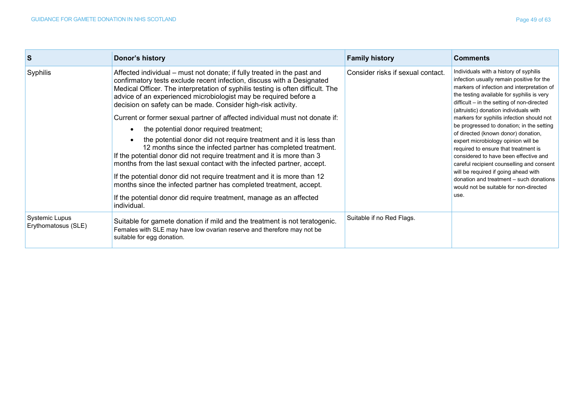| S                                            | Donor's history                                                                                                                                                                                                                                                                                                                                                                                                                                                                                                                                                                                                                                                                                                                                                                                                                                                                                                                                                                                                                     | <b>Family history</b>             | <b>Comments</b>                                                                                                                                                                                                                                                                                                                                                                                                                                                                                                                                                                                                                                                                                                    |
|----------------------------------------------|-------------------------------------------------------------------------------------------------------------------------------------------------------------------------------------------------------------------------------------------------------------------------------------------------------------------------------------------------------------------------------------------------------------------------------------------------------------------------------------------------------------------------------------------------------------------------------------------------------------------------------------------------------------------------------------------------------------------------------------------------------------------------------------------------------------------------------------------------------------------------------------------------------------------------------------------------------------------------------------------------------------------------------------|-----------------------------------|--------------------------------------------------------------------------------------------------------------------------------------------------------------------------------------------------------------------------------------------------------------------------------------------------------------------------------------------------------------------------------------------------------------------------------------------------------------------------------------------------------------------------------------------------------------------------------------------------------------------------------------------------------------------------------------------------------------------|
| Syphilis                                     | Affected individual – must not donate; if fully treated in the past and<br>confirmatory tests exclude recent infection, discuss with a Designated<br>Medical Officer. The interpretation of syphilis testing is often difficult. The<br>advice of an experienced microbiologist may be required before a<br>decision on safety can be made. Consider high-risk activity.<br>Current or former sexual partner of affected individual must not donate if:<br>the potential donor required treatment;<br>the potential donor did not require treatment and it is less than<br>12 months since the infected partner has completed treatment.<br>If the potential donor did not require treatment and it is more than 3<br>months from the last sexual contact with the infected partner, accept.<br>If the potential donor did not require treatment and it is more than 12<br>months since the infected partner has completed treatment, accept.<br>If the potential donor did require treatment, manage as an affected<br>individual. | Consider risks if sexual contact. | Individuals with a history of syphilis<br>infection usually remain positive for the<br>markers of infection and interpretation of<br>the testing available for syphilis is very<br>difficult - in the setting of non-directed<br>(altruistic) donation individuals with<br>markers for syphilis infection should not<br>be progressed to donation; in the setting<br>of directed (known donor) donation,<br>expert microbiology opinion will be<br>required to ensure that treatment is<br>considered to have been effective and<br>careful recipient counselling and consent<br>will be required if going ahead with<br>donation and treatment - such donations<br>would not be suitable for non-directed<br>use. |
| <b>Systemic Lupus</b><br>Erythomatosus (SLE) | Suitable for gamete donation if mild and the treatment is not teratogenic.<br>Females with SLE may have low ovarian reserve and therefore may not be<br>suitable for egg donation.                                                                                                                                                                                                                                                                                                                                                                                                                                                                                                                                                                                                                                                                                                                                                                                                                                                  | Suitable if no Red Flags.         |                                                                                                                                                                                                                                                                                                                                                                                                                                                                                                                                                                                                                                                                                                                    |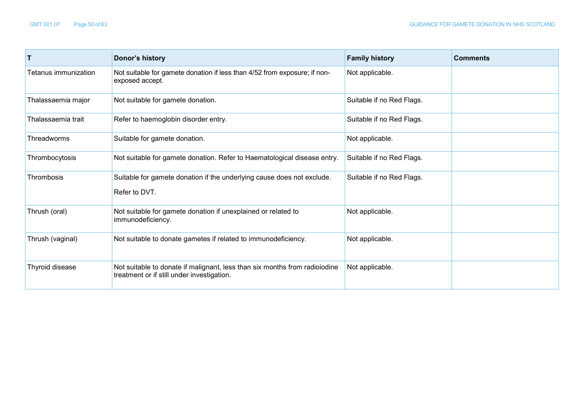| T                    | Donor's history                                                                                                          | <b>Family history</b>     | <b>Comments</b> |
|----------------------|--------------------------------------------------------------------------------------------------------------------------|---------------------------|-----------------|
| Tetanus immunization | Not suitable for gamete donation if less than 4/52 from exposure; if non-<br>exposed accept.                             | Not applicable.           |                 |
| Thalassaemia major   | Not suitable for gamete donation.                                                                                        | Suitable if no Red Flags. |                 |
| Thalassaemia trait   | Refer to haemoglobin disorder entry.                                                                                     | Suitable if no Red Flags. |                 |
| Threadworms          | Suitable for gamete donation.                                                                                            | Not applicable.           |                 |
| Thrombocytosis       | Not suitable for gamete donation. Refer to Haematological disease entry.                                                 | Suitable if no Red Flags. |                 |
| Thrombosis           | Suitable for gamete donation if the underlying cause does not exclude.<br>Refer to DVT.                                  | Suitable if no Red Flags. |                 |
| Thrush (oral)        | Not suitable for gamete donation if unexplained or related to<br>immunodeficiency.                                       | Not applicable.           |                 |
| Thrush (vaginal)     | Not suitable to donate gametes if related to immunodeficiency.                                                           | Not applicable.           |                 |
| Thyroid disease      | Not suitable to donate if malignant, less than six months from radioiodine<br>treatment or if still under investigation. | Not applicable.           |                 |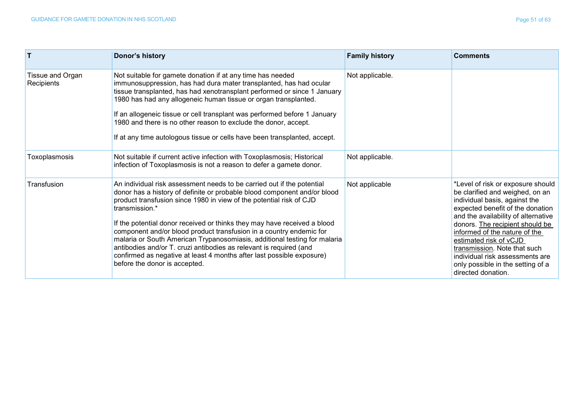| $\mathbf{T}$                   | Donor's history                                                                                                                                                                                                                                                                                                                                                                                                                                                                                                                                                                                                                                             | <b>Family history</b> | <b>Comments</b>                                                                                                                                                                                                                                                                                                                                                                                              |
|--------------------------------|-------------------------------------------------------------------------------------------------------------------------------------------------------------------------------------------------------------------------------------------------------------------------------------------------------------------------------------------------------------------------------------------------------------------------------------------------------------------------------------------------------------------------------------------------------------------------------------------------------------------------------------------------------------|-----------------------|--------------------------------------------------------------------------------------------------------------------------------------------------------------------------------------------------------------------------------------------------------------------------------------------------------------------------------------------------------------------------------------------------------------|
| Tissue and Organ<br>Recipients | Not suitable for gamete donation if at any time has needed<br>immunosuppression, has had dura mater transplanted, has had ocular<br>tissue transplanted, has had xenotransplant performed or since 1 January<br>1980 has had any allogeneic human tissue or organ transplanted.<br>If an allogeneic tissue or cell transplant was performed before 1 January<br>1980 and there is no other reason to exclude the donor, accept.<br>If at any time autologous tissue or cells have been transplanted, accept.                                                                                                                                                | Not applicable.       |                                                                                                                                                                                                                                                                                                                                                                                                              |
| Toxoplasmosis                  | Not suitable if current active infection with Toxoplasmosis; Historical<br>infection of Toxoplasmosis is not a reason to defer a gamete donor.                                                                                                                                                                                                                                                                                                                                                                                                                                                                                                              | Not applicable.       |                                                                                                                                                                                                                                                                                                                                                                                                              |
| Transfusion                    | An individual risk assessment needs to be carried out if the potential<br>donor has a history of definite or probable blood component and/or blood<br>product transfusion since 1980 in view of the potential risk of CJD<br>transmission.*<br>If the potential donor received or thinks they may have received a blood<br>component and/or blood product transfusion in a country endemic for<br>malaria or South American Trypanosomiasis, additional testing for malaria<br>antibodies and/or T. cruzi antibodies as relevant is required (and<br>confirmed as negative at least 4 months after last possible exposure)<br>before the donor is accepted. | Not applicable        | *Level of risk or exposure should<br>be clarified and weighed, on an<br>individual basis, against the<br>expected benefit of the donation<br>and the availability of alternative<br>donors. The recipient should be<br>informed of the nature of the<br>estimated risk of vCJD<br>transmission. Note that such<br>individual risk assessments are<br>only possible in the setting of a<br>directed donation. |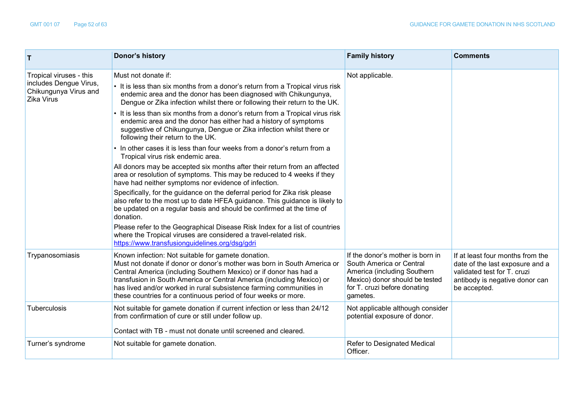| $\mathsf{T}$                                                                             | Donor's history                                                                                                                                                                                                                                                                                                                                                                                                      | <b>Family history</b>                                                                                                                                                     | <b>Comments</b>                                                                                                                                      |
|------------------------------------------------------------------------------------------|----------------------------------------------------------------------------------------------------------------------------------------------------------------------------------------------------------------------------------------------------------------------------------------------------------------------------------------------------------------------------------------------------------------------|---------------------------------------------------------------------------------------------------------------------------------------------------------------------------|------------------------------------------------------------------------------------------------------------------------------------------------------|
| Tropical viruses - this<br>includes Dengue Virus,<br>Chikungunya Virus and<br>Zika Virus | Must not donate if:                                                                                                                                                                                                                                                                                                                                                                                                  | Not applicable.                                                                                                                                                           |                                                                                                                                                      |
|                                                                                          | • It is less than six months from a donor's return from a Tropical virus risk<br>endemic area and the donor has been diagnosed with Chikungunya,<br>Dengue or Zika infection whilst there or following their return to the UK.                                                                                                                                                                                       |                                                                                                                                                                           |                                                                                                                                                      |
|                                                                                          | • It is less than six months from a donor's return from a Tropical virus risk<br>endemic area and the donor has either had a history of symptoms<br>suggestive of Chikungunya, Dengue or Zika infection whilst there or<br>following their return to the UK.                                                                                                                                                         |                                                                                                                                                                           |                                                                                                                                                      |
|                                                                                          | • In other cases it is less than four weeks from a donor's return from a<br>Tropical virus risk endemic area.                                                                                                                                                                                                                                                                                                        |                                                                                                                                                                           |                                                                                                                                                      |
|                                                                                          | All donors may be accepted six months after their return from an affected<br>area or resolution of symptoms. This may be reduced to 4 weeks if they<br>have had neither symptoms nor evidence of infection.                                                                                                                                                                                                          |                                                                                                                                                                           |                                                                                                                                                      |
|                                                                                          | Specifically, for the guidance on the deferral period for Zika risk please<br>also refer to the most up to date HFEA guidance. This guidance is likely to<br>be updated on a regular basis and should be confirmed at the time of<br>donation.                                                                                                                                                                       |                                                                                                                                                                           |                                                                                                                                                      |
|                                                                                          | Please refer to the Geographical Disease Risk Index for a list of countries<br>where the Tropical viruses are considered a travel-related risk.<br>https://www.transfusionguidelines.org/dsg/gdri                                                                                                                                                                                                                    |                                                                                                                                                                           |                                                                                                                                                      |
| Trypanosomiasis                                                                          | Known infection: Not suitable for gamete donation.<br>Must not donate if donor or donor's mother was born in South America or<br>Central America (including Southern Mexico) or if donor has had a<br>transfusion in South America or Central America (including Mexico) or<br>has lived and/or worked in rural subsistence farming communities in<br>these countries for a continuous period of four weeks or more. | If the donor's mother is born in<br>South America or Central<br>America (including Southern<br>Mexico) donor should be tested<br>for T. cruzi before donating<br>gametes. | If at least four months from the<br>date of the last exposure and a<br>validated test for T. cruzi<br>antibody is negative donor can<br>be accepted. |
| Tuberculosis                                                                             | Not suitable for gamete donation if current infection or less than 24/12<br>from confirmation of cure or still under follow up.                                                                                                                                                                                                                                                                                      | Not applicable although consider<br>potential exposure of donor.                                                                                                          |                                                                                                                                                      |
|                                                                                          | Contact with TB - must not donate until screened and cleared.                                                                                                                                                                                                                                                                                                                                                        |                                                                                                                                                                           |                                                                                                                                                      |
| Turner's syndrome                                                                        | Not suitable for gamete donation.                                                                                                                                                                                                                                                                                                                                                                                    | Refer to Designated Medical<br>Officer.                                                                                                                                   |                                                                                                                                                      |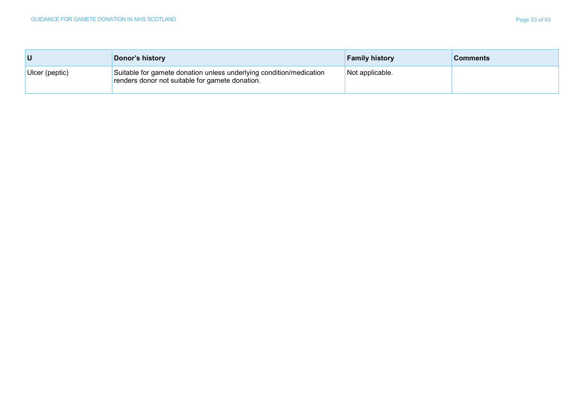| U              | Donor's history                                                                                                        | <b>Family history</b> | <b>Comments</b> |
|----------------|------------------------------------------------------------------------------------------------------------------------|-----------------------|-----------------|
| Ulcer (peptic) | Suitable for gamete donation unless underlying condition/medication<br>renders donor not suitable for gamete donation. | Not applicable.       |                 |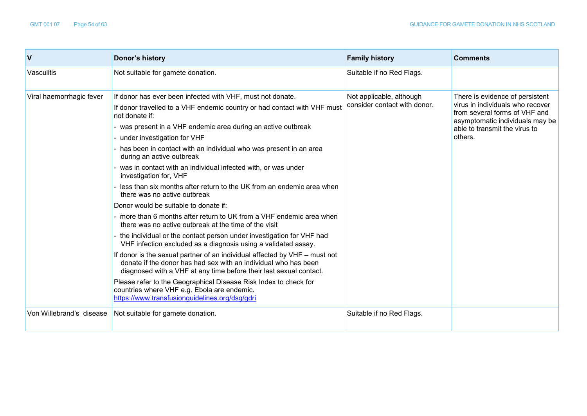| $\mathsf{V}$             | Donor's history                                                                                                                                                                                                     | <b>Family history</b>        | <b>Comments</b>                                                                                                                         |
|--------------------------|---------------------------------------------------------------------------------------------------------------------------------------------------------------------------------------------------------------------|------------------------------|-----------------------------------------------------------------------------------------------------------------------------------------|
| Vasculitis               | Not suitable for gamete donation.                                                                                                                                                                                   | Suitable if no Red Flags.    |                                                                                                                                         |
| Viral haemorrhagic fever | If donor has ever been infected with VHF, must not donate.                                                                                                                                                          | Not applicable, although     | There is evidence of persistent<br>virus in individuals who recover<br>from several forms of VHF and<br>asymptomatic individuals may be |
|                          | If donor travelled to a VHF endemic country or had contact with VHF must<br>not donate if:                                                                                                                          | consider contact with donor. |                                                                                                                                         |
|                          | - was present in a VHF endemic area during an active outbreak                                                                                                                                                       |                              | able to transmit the virus to                                                                                                           |
|                          | - under investigation for VHF                                                                                                                                                                                       |                              | others.                                                                                                                                 |
|                          | - has been in contact with an individual who was present in an area<br>during an active outbreak                                                                                                                    |                              |                                                                                                                                         |
|                          | - was in contact with an individual infected with, or was under<br>investigation for, VHF                                                                                                                           |                              |                                                                                                                                         |
|                          | less than six months after return to the UK from an endemic area when<br>there was no active outbreak                                                                                                               |                              |                                                                                                                                         |
|                          | Donor would be suitable to donate if:                                                                                                                                                                               |                              |                                                                                                                                         |
|                          | - more than 6 months after return to UK from a VHF endemic area when<br>there was no active outbreak at the time of the visit                                                                                       |                              |                                                                                                                                         |
|                          | - the individual or the contact person under investigation for VHF had<br>VHF infection excluded as a diagnosis using a validated assay.                                                                            |                              |                                                                                                                                         |
|                          | If donor is the sexual partner of an individual affected by VHF - must not<br>donate if the donor has had sex with an individual who has been<br>diagnosed with a VHF at any time before their last sexual contact. |                              |                                                                                                                                         |
|                          | Please refer to the Geographical Disease Risk Index to check for<br>countries where VHF e.g. Ebola are endemic.<br>https://www.transfusionguidelines.org/dsg/gdri                                                   |                              |                                                                                                                                         |
| Von Willebrand's disease | Not suitable for gamete donation.                                                                                                                                                                                   | Suitable if no Red Flags.    |                                                                                                                                         |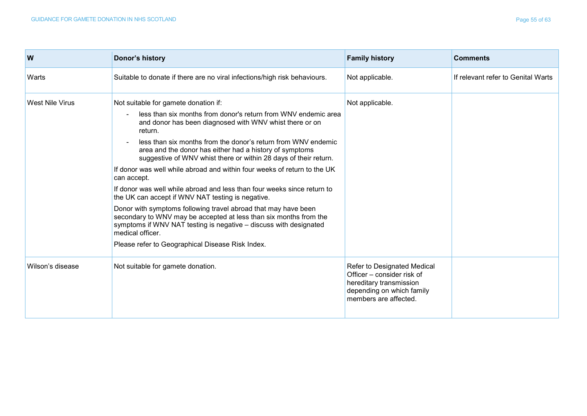| W                | Donor's history                                                                                                                                                                                                                                                                                                                                                                                                                                                                                                                                                                                                                                                                                                                                                                                                                                                                             | <b>Family history</b>                                                                                                                      | <b>Comments</b>                    |
|------------------|---------------------------------------------------------------------------------------------------------------------------------------------------------------------------------------------------------------------------------------------------------------------------------------------------------------------------------------------------------------------------------------------------------------------------------------------------------------------------------------------------------------------------------------------------------------------------------------------------------------------------------------------------------------------------------------------------------------------------------------------------------------------------------------------------------------------------------------------------------------------------------------------|--------------------------------------------------------------------------------------------------------------------------------------------|------------------------------------|
| Warts            | Suitable to donate if there are no viral infections/high risk behaviours.                                                                                                                                                                                                                                                                                                                                                                                                                                                                                                                                                                                                                                                                                                                                                                                                                   | Not applicable.                                                                                                                            | If relevant refer to Genital Warts |
| West Nile Virus  | Not suitable for gamete donation if:<br>less than six months from donor's return from WNV endemic area<br>and donor has been diagnosed with WNV whist there or on<br>return.<br>less than six months from the donor's return from WNV endemic<br>area and the donor has either had a history of symptoms<br>suggestive of WNV whist there or within 28 days of their return.<br>If donor was well while abroad and within four weeks of return to the UK<br>can accept.<br>If donor was well while abroad and less than four weeks since return to<br>the UK can accept if WNV NAT testing is negative.<br>Donor with symptoms following travel abroad that may have been<br>secondary to WNV may be accepted at less than six months from the<br>symptoms if WNV NAT testing is negative - discuss with designated<br>medical officer.<br>Please refer to Geographical Disease Risk Index. | Not applicable.                                                                                                                            |                                    |
| Wilson's disease | Not suitable for gamete donation.                                                                                                                                                                                                                                                                                                                                                                                                                                                                                                                                                                                                                                                                                                                                                                                                                                                           | Refer to Designated Medical<br>Officer - consider risk of<br>hereditary transmission<br>depending on which family<br>members are affected. |                                    |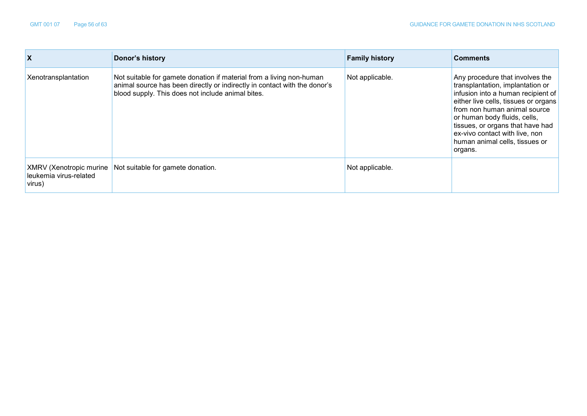| X                                                           | Donor's history                                                                                                                                                                                        | <b>Family history</b> | <b>Comments</b>                                                                                                                                                                                                                                                                                                                      |
|-------------------------------------------------------------|--------------------------------------------------------------------------------------------------------------------------------------------------------------------------------------------------------|-----------------------|--------------------------------------------------------------------------------------------------------------------------------------------------------------------------------------------------------------------------------------------------------------------------------------------------------------------------------------|
| Xenotransplantation                                         | Not suitable for gamete donation if material from a living non-human<br>animal source has been directly or indirectly in contact with the donor's<br>blood supply. This does not include animal bites. | Not applicable.       | Any procedure that involves the<br>transplantation, implantation or<br>infusion into a human recipient of<br>either live cells, tissues or organs<br>from non human animal source<br>or human body fluids, cells,<br>tissues, or organs that have had<br>ex-vivo contact with live, non<br>human animal cells, tissues or<br>organs. |
| XMRV (Xenotropic murine<br>leukemia virus-related<br>virus) | Not suitable for gamete donation.                                                                                                                                                                      | Not applicable.       |                                                                                                                                                                                                                                                                                                                                      |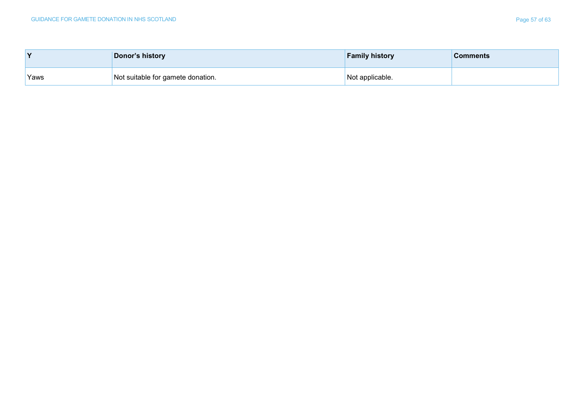| v    | Donor's history                   | <b>Family history</b> | <b>Comments</b> |
|------|-----------------------------------|-----------------------|-----------------|
| Yaws | Not suitable for gamete donation. | Not applicable.       |                 |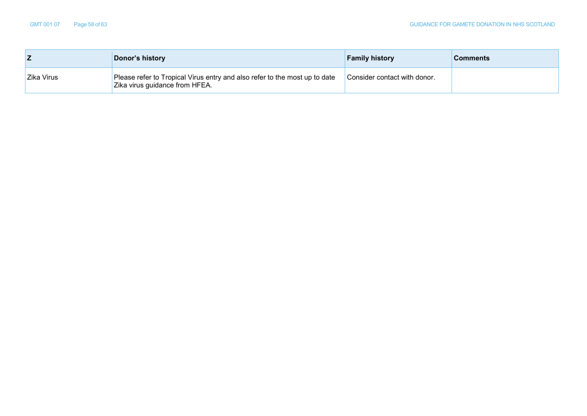|            | Donor's history                                                                                              | <b>Family history</b>        | <b>Comments</b> |
|------------|--------------------------------------------------------------------------------------------------------------|------------------------------|-----------------|
| Zika Virus | Please refer to Tropical Virus entry and also refer to the most up to date<br>Zika virus guidance from HFEA. | Consider contact with donor. |                 |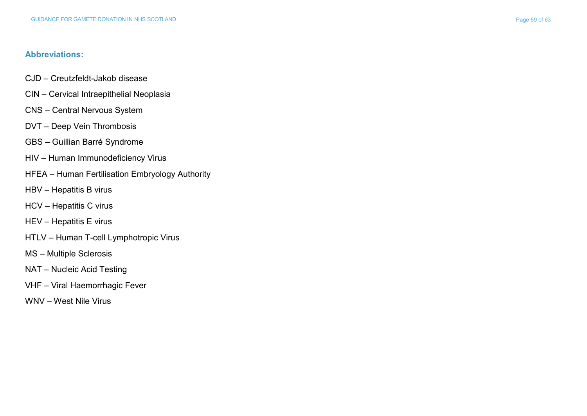## **Abbreviations:**

- CJD Creutzfeldt -Jakob disease
- CIN Cervical Intraepithelial Neoplasia
- CNS Central Nervous System
- DVT Deep Vein Thrombosis
- GBS Guillian Barr é Syndrome
- HIV Human Immunodeficiency Virus
- HFEA Human Fertilisation Embryology Authority
- HBV Hepatitis B virus
- HCV Hepatitis C virus
- HEV Hepatitis E virus
- HTLV Human T -cell Lymphotropic Virus
- MS Multiple Sclerosis
- NAT Nucleic Acid Testing
- VHF Viral Haemorrhagic Fever
- WNV West Nile Virus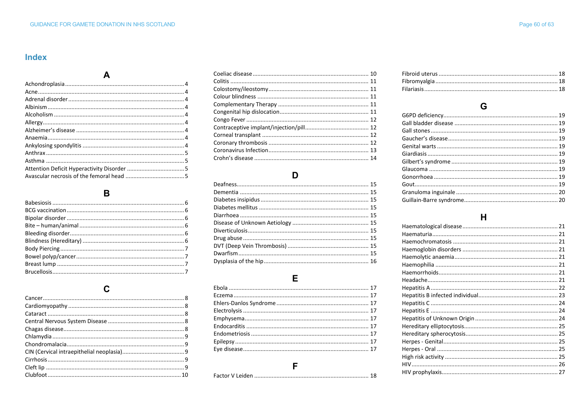## **Index**

### $\, {\bf B}$

### $\mathbf c$

### D

### $\mathsf E$

#### $\mathsf{F}$

### G

# $H$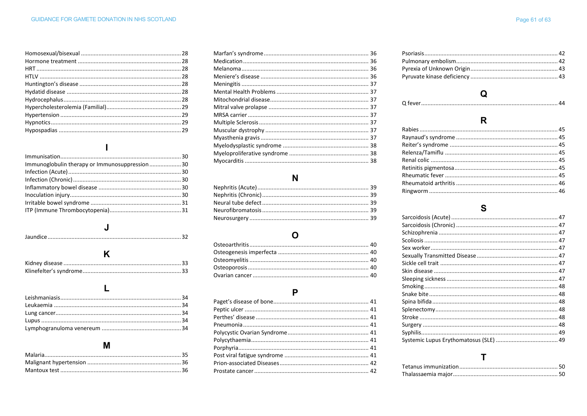| Immunoglobulin therapy or Immunosuppression30 |  |
|-----------------------------------------------|--|
|                                               |  |
|                                               |  |
|                                               |  |
|                                               |  |
|                                               |  |
|                                               |  |

#### $\mathsf{L}$

## M

### $\mathbf N$

## $\mathbf{o}$

#### $\mathsf{P}$

# $\mathbf Q$

#### 

## $\mathbf R$

#### $\mathbf{s}$

## T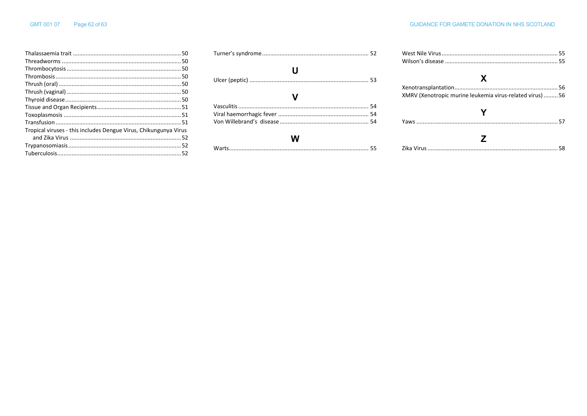| Tropical viruses - this includes Dengue Virus, Chikungunya Virus |  |
|------------------------------------------------------------------|--|
|                                                                  |  |
|                                                                  |  |
|                                                                  |  |

| U |  |
|---|--|
|   |  |
|   |  |
|   |  |
|   |  |
| W |  |
|   |  |

| X                                                         |  |
|-----------------------------------------------------------|--|
| XMRV (Xenotropic murine leukemia virus-related virus)  56 |  |
|                                                           |  |
|                                                           |  |
|                                                           |  |
|                                                           |  |
|                                                           |  |